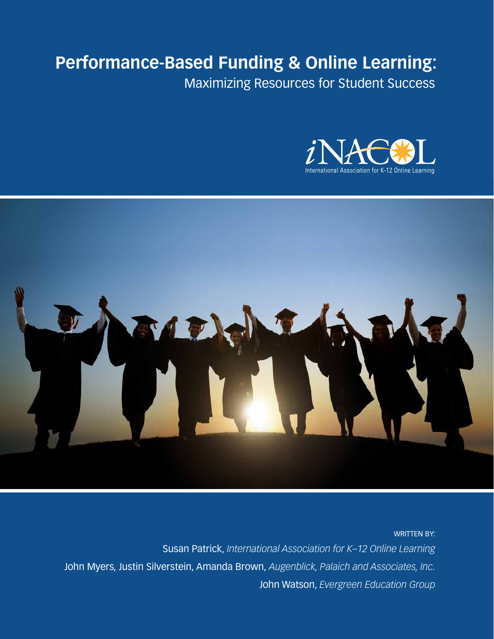# **Performance-Based Funding & Online Learning:**

Maximizing Resources for Student Success





WRITTEN BY: Susan Patrick, *International Association for K–12 Online Learning* John Myers, Justin Silverstein, Amanda Brown, *Augenblick, Palaich and Associates, Inc.* John Watson, *Evergreen Education Group*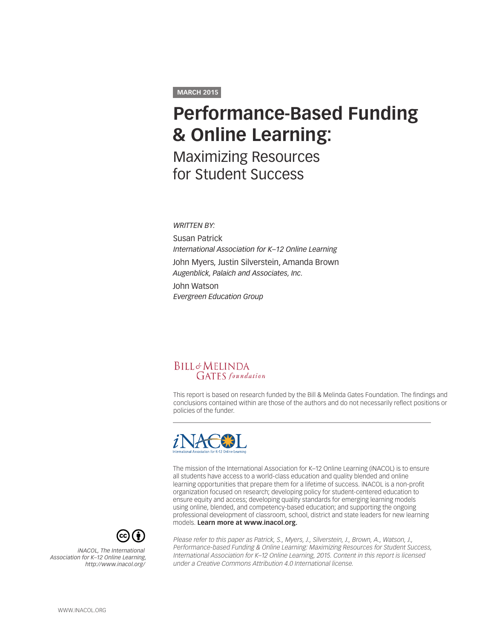#### **MARCH 2015**

# **Performance-Based Funding & Online Learning:**

Maximizing Resources for Student Success

*WRITTEN BY:*

Susan Patrick *International Association for K–12 Online Learning* John Myers, Justin Silverstein, Amanda Brown *Augenblick, Palaich and Associates, Inc.* John Watson

*Evergreen Education Group*



This report is based on research funded by the Bill & Melinda Gates Foundation. The findings and conclusions contained within are those of the authors and do not necessarily reflect positions or policies of the funder.



The mission of the International Association for K–12 Online Learning (iNACOL) is to ensure all students have access to a world-class education and quality blended and online learning opportunities that prepare them for a lifetime of success. iNACOL is a non-profit organization focused on research; developing policy for student-centered education to ensure equity and access; developing quality standards for emerging learning models using online, blended, and competency-based education; and supporting the ongoing professional development of classroom, school, district and state leaders for new learning models. **Learn more at [www.inacol.org.](http://www.inacol.org)**



*iNACOL, The International Association for K–12 Online Learning, http://www.inacol.org/* *Please refer to this paper as Patrick, S., Myers, J., Silverstein, J., Brown, A., Watson, J., Performance-based Funding & Online Learning: Maximizing Resources for Student Success, International Association for K–12 Online Learning, 2015. Content in this report is licensed under a Creative Commons Attribution 4.0 International license.*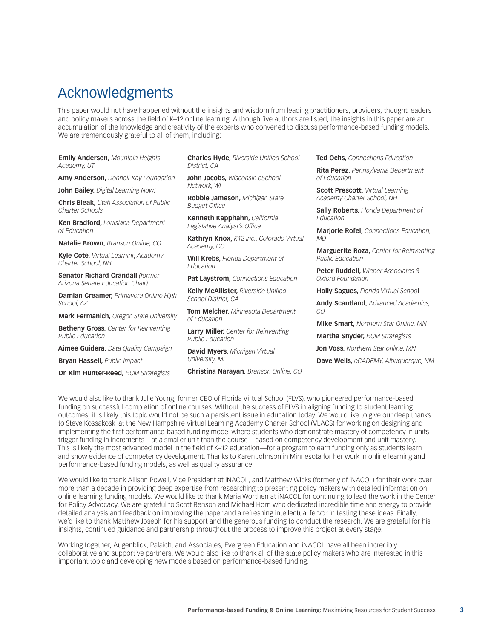### Acknowledgments

This paper would not have happened without the insights and wisdom from leading practitioners, providers, thought leaders and policy makers across the field of K–12 online learning. Although five authors are listed, the insights in this paper are an accumulation of the knowledge and creativity of the experts who convened to discuss performance-based funding models. We are tremendously grateful to all of them, including:

**Emily Andersen,** *Mountain Heights Academy, UT* 

**Amy Anderson,** *Donnell-Kay Foundation*

**John Bailey,** *Digital Learning Now!*

**Chris Bleak,** *Utah Association of Public Charter Schools*

**Ken Bradford,** *Louisiana Department of Education*

**Natalie Brown,** *Branson Online, CO*

**Kyle Cote,** *Virtual Learning Academy Charter School, NH*

**Senator Richard Crandall** *(former Arizona Senate Education Chair)*

**Damian Creamer,** *Primavera Online High School, AZ* 

**Mark Fermanich,** *Oregon State University*

**Betheny Gross,** *Center for Reinventing Public Education*

**Aimee Guidera,** *Data Quality Campaign*

**Bryan Hassell,** *Public Impact* 

**Dr. Kim Hunter-Reed,** *HCM Strategists*

**Charles Hyde,** *Riverside Unified School District, CA* 

**John Jacobs,** *Wisconsin eSchool Network, WI*

**Robbie Jameson,** *Michigan State Budget Office*

**Kenneth Kapphahn,** *California Legislative Analyst's Office*

**Kathryn Knox,** *K12 Inc., Colorado Virtual Academy, CO*

**Will Krebs,** *Florida Department of Education* 

**Pat Laystrom,** *Connections Education*

**Kelly McAllister,** *Riverside Unified School District, CA*

**Tom Melcher,** *Minnesota Department of Education*

**Larry Miller,** *Center for Reinventing Public Education*

**David Myers,** *Michigan Virtual University, MI*

**Christina Narayan,** *Branson Online, CO*

**Ted Ochs,** *Connections Education*

**Rita Perez,** *Pennsylvania Department of Education*

**Scott Prescott,** *Virtual Learning Academy Charter School, NH*

**Sally Roberts,** *Florida Department of Education*

**Marjorie Rofel,** *Connections Education, MD*

**Marguerite Roza,** *Center for Reinventing Public Education*

**Peter Ruddell,** *Wiener Associates & Oxford Foundation*

**Holly Sagues,** *Florida Virtual Schoo***l** 

**Andy Scantland,** *Advanced Academics, CO*

**Mike Smart,** *Northern Star Online, MN*

**Martha Snyder,** *HCM Strategists*

**Jon Voss,** *Northern Star online, MN*

**Dave Wells,** *eCADEMY, Albuquerque, NM*

We would also like to thank Julie Young, former CEO of Florida Virtual School (FLVS), who pioneered performance-based funding on successful completion of online courses. Without the success of FLVS in aligning funding to student learning outcomes, it is likely this topic would not be such a persistent issue in education today. We would like to give our deep thanks to Steve Kossakoski at the New Hampshire Virtual Learning Academy Charter School (VLACS) for working on designing and implementing the first performance-based funding model where students who demonstrate mastery of competency in units trigger funding in increments—at a smaller unit than the course—based on competency development and unit mastery. This is likely the most advanced model in the field of K–12 education—for a program to earn funding only as students learn and show evidence of competency development. Thanks to Karen Johnson in Minnesota for her work in online learning and performance-based funding models, as well as quality assurance.

We would like to thank Allison Powell, Vice President at iNACOL, and Matthew Wicks (formerly of iNACOL) for their work over more than a decade in providing deep expertise from researching to presenting policy makers with detailed information on online learning funding models. We would like to thank Maria Worthen at iNACOL for continuing to lead the work in the Center for Policy Advocacy. We are grateful to Scott Benson and Michael Horn who dedicated incredible time and energy to provide detailed analysis and feedback on improving the paper and a refreshing intellectual fervor in testing these ideas. Finally, we'd like to thank Matthew Joseph for his support and the generous funding to conduct the research. We are grateful for his insights, continued guidance and partnership throughout the process to improve this project at every stage.

Working together, Augenblick, Palaich, and Associates, Evergreen Education and iNACOL have all been incredibly collaborative and supportive partners. We would also like to thank all of the state policy makers who are interested in this important topic and developing new models based on performance-based funding.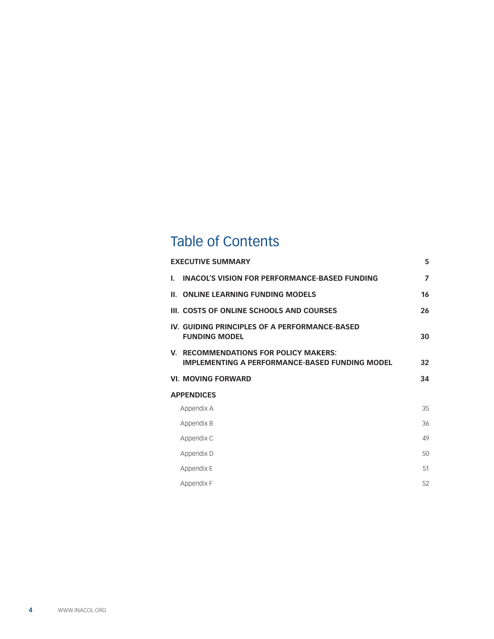# Table of Contents

| <b>EXECUTIVE SUMMARY</b>                                                                       | 5              |
|------------------------------------------------------------------------------------------------|----------------|
| <b>INACOL'S VISION FOR PERFORMANCE-BASED FUNDING</b><br>L.                                     | $\overline{7}$ |
| <b>II. ONLINE LEARNING FUNDING MODELS</b>                                                      | 16             |
| III. COSTS OF ONLINE SCHOOLS AND COURSES                                                       | 26             |
| IV. GUIDING PRINCIPLES OF A PERFORMANCE-BASED<br><b>FUNDING MODEL</b>                          | 30             |
| V. RECOMMENDATIONS FOR POLICY MAKERS:<br><b>IMPLEMENTING A PERFORMANCE-BASED FUNDING MODEL</b> | 32             |
| <b>VI. MOVING FORWARD</b>                                                                      | 34             |
| <b>APPENDICES</b>                                                                              |                |
| Appendix A                                                                                     | 35             |
| Appendix B                                                                                     | 36             |
| Appendix C                                                                                     | 49             |
| Appendix D                                                                                     | 50             |
| Appendix E                                                                                     | 51             |
| Appendix F                                                                                     | 52             |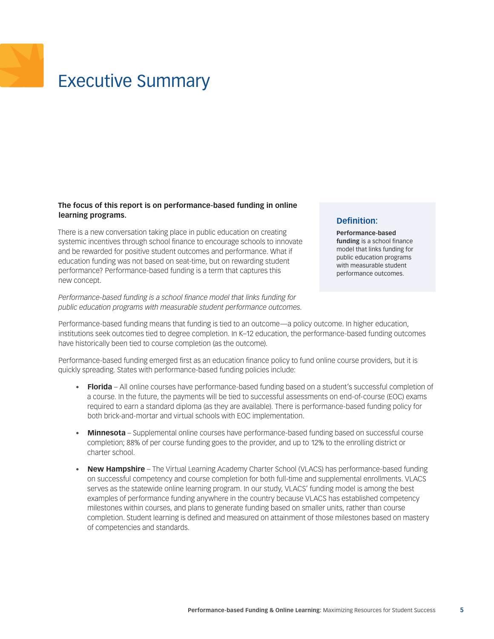# <span id="page-4-0"></span>Executive Summary

#### **The focus of this report is on performance-based funding in online learning programs.**

There is a new conversation taking place in public education on creating systemic incentives through school finance to encourage schools to innovate and be rewarded for positive student outcomes and performance. What if education funding was not based on seat-time, but on rewarding student performance? Performance-based funding is a term that captures this new concept.

*Performance-based funding is a school finance model that links funding for public education programs with measurable student performance outcomes.* 

#### **Definition:**

**Performance-based funding** is a school finance model that links funding for public education programs with measurable student performance outcomes.

Performance-based funding means that funding is tied to an outcome—a policy outcome. In higher education, institutions seek outcomes tied to degree completion. In K–12 education, the performance-based funding outcomes have historically been tied to course completion (as the outcome).

Performance-based funding emerged first as an education finance policy to fund online course providers, but it is quickly spreading. States with performance-based funding policies include:

- • **Florida** All online courses have performance-based funding based on a student's successful completion of a course. In the future, the payments will be tied to successful assessments on end-of-course (EOC) exams required to earn a standard diploma (as they are available). There is performance-based funding policy for both brick-and-mortar and virtual schools with EOC implementation.
- **Minnesota** Supplemental online courses have performance-based funding based on successful course completion; 88% of per course funding goes to the provider, and up to 12% to the enrolling district or charter school.
- • **New Hampshire** The Virtual Learning Academy Charter School (VLACS) has performance-based funding on successful competency and course completion for both full-time and supplemental enrollments. VLACS serves as the statewide online learning program. In our study, VLACS' funding model is among the best examples of performance funding anywhere in the country because VLACS has established competency milestones within courses, and plans to generate funding based on smaller units, rather than course completion. Student learning is defined and measured on attainment of those milestones based on mastery of competencies and standards.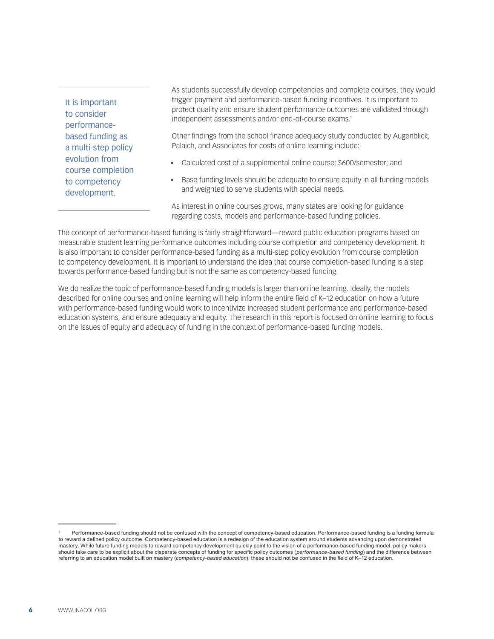It is important to consider performancebased funding as a multi-step policy evolution from course completion to competency development.

As students successfully develop competencies and complete courses, they would trigger payment and performance-based funding incentives. It is important to protect quality and ensure student performance outcomes are validated through independent assessments and/or end-of-course exams.<sup>1</sup>

Other findings from the school finance adequacy study conducted by Augenblick, Palaich, and Associates for costs of online learning include:

- Calculated cost of a supplemental online course: \$600/semester; and
- Base funding levels should be adequate to ensure equity in all funding models and weighted to serve students with special needs.

As interest in online courses grows, many states are looking for guidance regarding costs, models and performance-based funding policies.

The concept of performance-based funding is fairly straightforward—reward public education programs based on measurable student learning performance outcomes including course completion and competency development. It is also important to consider performance-based funding as a multi-step policy evolution from course completion to competency development. It is important to understand the idea that course completion-based funding is a step towards performance-based funding but is not the same as competency-based funding.

We do realize the topic of performance-based funding models is larger than online learning. Ideally, the models described for online courses and online learning will help inform the entire field of K–12 education on how a future with performance-based funding would work to incentivize increased student performance and performance-based education systems, and ensure adequacy and equity. The research in this report is focused on online learning to focus on the issues of equity and adequacy of funding in the context of performance-based funding models.

<sup>1</sup> Performance-based funding should not be confused with the concept of competency-based education. Performance-based funding is a funding formula to reward a defined policy outcome. Competency-based education is a redesign of the education system around students advancing upon demonstrated mastery. While future funding models to reward competency development quickly point to the vision of a performance-based funding model, policy makers should take care to be explicit about the disparate concepts of funding for specific policy outcomes (*performance-based funding*) and the difference between referring to an education model built on mastery (*competency-based education*); these should not be confused in the field of K–12 education.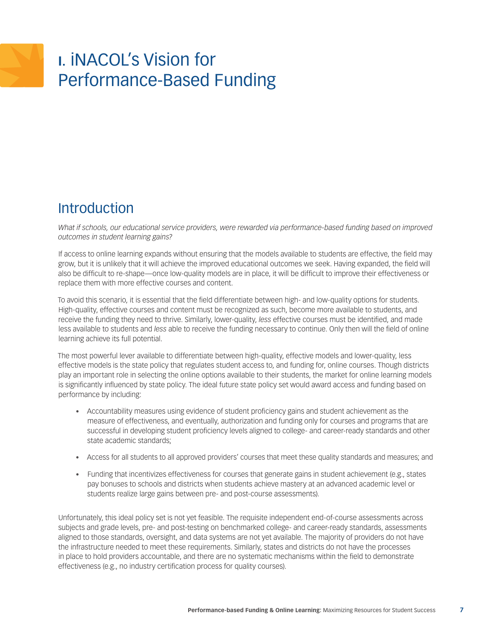# <span id="page-6-0"></span>**I.** iNACOL's Vision for Performance-Based Funding

# **Introduction**

*What if schools, our educational service providers, were rewarded via performance-based funding based on improved outcomes in student learning gains?* 

If access to online learning expands without ensuring that the models available to students are effective, the field may grow, but it is unlikely that it will achieve the improved educational outcomes we seek. Having expanded, the field will also be difficult to re-shape—once low-quality models are in place, it will be difficult to improve their effectiveness or replace them with more effective courses and content.

To avoid this scenario, it is essential that the field differentiate between high- and low-quality options for students. High-quality, effective courses and content must be recognized as such, become more available to students, and receive the funding they need to thrive. Similarly, lower-quality, *less* effective courses must be identified, and made less available to students and *less* able to receive the funding necessary to continue. Only then will the field of online learning achieve its full potential.

The most powerful lever available to differentiate between high-quality, effective models and lower-quality, less effective models is the state policy that regulates student access to, and funding for, online courses. Though districts play an important role in selecting the online options available to their students, the market for online learning models is significantly influenced by state policy. The ideal future state policy set would award access and funding based on performance by including:

- • Accountability measures using evidence of student proficiency gains and student achievement as the measure of effectiveness, and eventually, authorization and funding only for courses and programs that are successful in developing student proficiency levels aligned to college- and career-ready standards and other state academic standards;
- • Access for all students to all approved providers' courses that meet these quality standards and measures; and
- • Funding that incentivizes effectiveness for courses that generate gains in student achievement (e.g., states pay bonuses to schools and districts when students achieve mastery at an advanced academic level or students realize large gains between pre- and post-course assessments).

Unfortunately, this ideal policy set is not yet feasible. The requisite independent end-of-course assessments across subjects and grade levels, pre- and post-testing on benchmarked college- and career-ready standards, assessments aligned to those standards, oversight, and data systems are not yet available. The majority of providers do not have the infrastructure needed to meet these requirements. Similarly, states and districts do not have the processes in place to hold providers accountable, and there are no systematic mechanisms within the field to demonstrate effectiveness (e.g., no industry certification process for quality courses).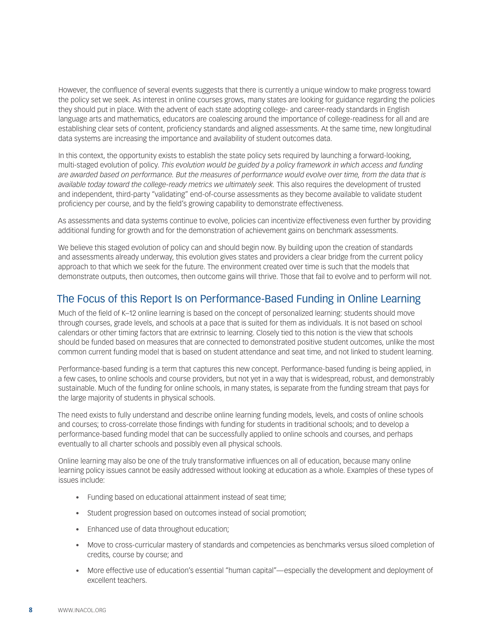However, the confluence of several events suggests that there is currently a unique window to make progress toward the policy set we seek. As interest in online courses grows, many states are looking for guidance regarding the policies they should put in place. With the advent of each state adopting college- and career-ready standards in English language arts and mathematics, educators are coalescing around the importance of college-readiness for all and are establishing clear sets of content, proficiency standards and aligned assessments. At the same time, new longitudinal data systems are increasing the importance and availability of student outcomes data.

In this context, the opportunity exists to establish the state policy sets required by launching a forward-looking, multi-staged evolution of policy. *This evolution would be guided by a policy framework in which access and funding are awarded based on performance. But the measures of performance would evolve over time, from the data that is available today toward the college-ready metrics we ultimately seek.* This also requires the development of trusted and independent, third-party "validating" end-of-course assessments as they become available to validate student proficiency per course, and by the field's growing capability to demonstrate effectiveness.

As assessments and data systems continue to evolve, policies can incentivize effectiveness even further by providing additional funding for growth and for the demonstration of achievement gains on benchmark assessments.

We believe this staged evolution of policy can and should begin now. By building upon the creation of standards and assessments already underway, this evolution gives states and providers a clear bridge from the current policy approach to that which we seek for the future. The environment created over time is such that the models that demonstrate outputs, then outcomes, then outcome gains will thrive. Those that fail to evolve and to perform will not.

### The Focus of this Report Is on Performance-Based Funding in Online Learning

Much of the field of K–12 online learning is based on the concept of personalized learning: students should move through courses, grade levels, and schools at a pace that is suited for them as individuals. It is not based on school calendars or other timing factors that are extrinsic to learning. Closely tied to this notion is the view that schools should be funded based on measures that are connected to demonstrated positive student outcomes, unlike the most common current funding model that is based on student attendance and seat time, and not linked to student learning.

Performance-based funding is a term that captures this new concept. Performance-based funding is being applied, in a few cases, to online schools and course providers, but not yet in a way that is widespread, robust, and demonstrably sustainable. Much of the funding for online schools, in many states, is separate from the funding stream that pays for the large majority of students in physical schools.

The need exists to fully understand and describe online learning funding models, levels, and costs of online schools and courses; to cross-correlate those findings with funding for students in traditional schools; and to develop a performance-based funding model that can be successfully applied to online schools and courses, and perhaps eventually to all charter schools and possibly even all physical schools.

Online learning may also be one of the truly transformative influences on all of education, because many online learning policy issues cannot be easily addressed without looking at education as a whole. Examples of these types of issues include:

- Funding based on educational attainment instead of seat time;
- Student progression based on outcomes instead of social promotion;
- Enhanced use of data throughout education;
- • Move to cross-curricular mastery of standards and competencies as benchmarks versus siloed completion of credits, course by course; and
- • More effective use of education's essential "human capital"—especially the development and deployment of excellent teachers.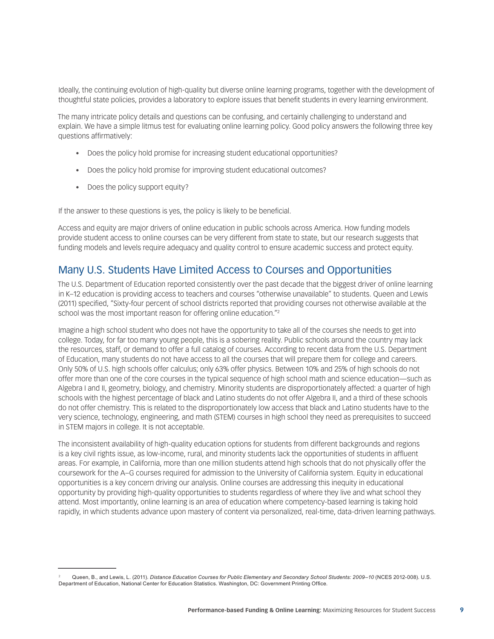Ideally, the continuing evolution of high-quality but diverse online learning programs, together with the development of thoughtful state policies, provides a laboratory to explore issues that benefit students in every learning environment.

The many intricate policy details and questions can be confusing, and certainly challenging to understand and explain. We have a simple litmus test for evaluating online learning policy. Good policy answers the following three key questions affirmatively:

- Does the policy hold promise for increasing student educational opportunities?
- Does the policy hold promise for improving student educational outcomes?
- Does the policy support equity?

If the answer to these questions is yes, the policy is likely to be beneficial.

Access and equity are major drivers of online education in public schools across America. How funding models provide student access to online courses can be very different from state to state, but our research suggests that funding models and levels require adequacy and quality control to ensure academic success and protect equity.

### Many U.S. Students Have Limited Access to Courses and Opportunities

The U.S. Department of Education reported consistently over the past decade that the biggest driver of online learning in K–12 education is providing access to teachers and courses "otherwise unavailable" to students. Queen and Lewis (2011) specified, "Sixty-four percent of school districts reported that providing courses not otherwise available at the school was the most important reason for offering online education."2

Imagine a high school student who does not have the opportunity to take all of the courses she needs to get into college. Today, for far too many young people, this is a sobering reality. Public schools around the country may lack the resources, staff, or demand to offer a full catalog of courses. According to recent data from the U.S. Department of Education, many students do not have access to all the courses that will prepare them for college and careers. Only 50% of U.S. high schools offer calculus; only 63% offer physics. Between 10% and 25% of high schools do not offer more than one of the core courses in the typical sequence of high school math and science education—such as Algebra I and II, geometry, biology, and chemistry. Minority students are disproportionately affected: a quarter of high schools with the highest percentage of black and Latino students do not offer Algebra II, and a third of these schools do not offer chemistry. This is related to the disproportionately low access that black and Latino students have to the very science, technology, engineering, and math (STEM) courses in high school they need as prerequisites to succeed in STEM majors in college. It is not acceptable.

The inconsistent availability of high-quality education options for students from different backgrounds and regions is a key civil rights issue, as low-income, rural, and minority students lack the opportunities of students in affluent areas. For example, in California, more than one million students attend high schools that do not physically offer the coursework for the A–G courses required for admission to the University of California system. Equity in educational opportunities is a key concern driving our analysis. Online courses are addressing this inequity in educational opportunity by providing high-quality opportunities to students regardless of where they live and what school they attend. Most importantly, online learning is an area of education where competency-based learning is taking hold rapidly, in which students advance upon mastery of content via personalized, real-time, data-driven learning pathways.

Queen, B., and Lewis, L. (2011). *Distance Education Courses for Public Elementary and Secondary School Students: 2009–10* (NCES 2012-008). U.S. Department of Education, National Center for Education Statistics. Washington, DC: Government Printing Office.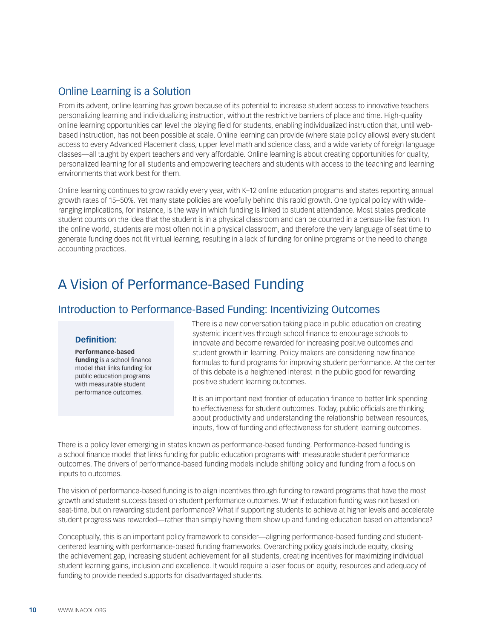### Online Learning is a Solution

From its advent, online learning has grown because of its potential to increase student access to innovative teachers personalizing learning and individualizing instruction, without the restrictive barriers of place and time. High-quality online learning opportunities can level the playing field for students, enabling individualized instruction that, until webbased instruction, has not been possible at scale. Online learning can provide (where state policy allows) every student access to every Advanced Placement class, upper level math and science class, and a wide variety of foreign language classes—all taught by expert teachers and very affordable. Online learning is about creating opportunities for quality, personalized learning for all students and empowering teachers and students with access to the teaching and learning environments that work best for them.

Online learning continues to grow rapidly every year, with K–12 online education programs and states reporting annual growth rates of 15–50%. Yet many state policies are woefully behind this rapid growth. One typical policy with wideranging implications, for instance, is the way in which funding is linked to student attendance. Most states predicate student counts on the idea that the student is in a physical classroom and can be counted in a census-like fashion. In the online world, students are most often not in a physical classroom, and therefore the very language of seat time to generate funding does not fit virtual learning, resulting in a lack of funding for online programs or the need to change accounting practices.

## A Vision of Performance-Based Funding

### Introduction to Performance-Based Funding: Incentivizing Outcomes

#### **Definition:**

**Performance-based funding** is a school finance model that links funding for public education programs with measurable student performance outcomes.

There is a new conversation taking place in public education on creating systemic incentives through school finance to encourage schools to innovate and become rewarded for increasing positive outcomes and student growth in learning. Policy makers are considering new finance formulas to fund programs for improving student performance. At the center of this debate is a heightened interest in the public good for rewarding positive student learning outcomes.

It is an important next frontier of education finance to better link spending to effectiveness for student outcomes. Today, public officials are thinking about productivity and understanding the relationship between resources, inputs, flow of funding and effectiveness for student learning outcomes.

There is a policy lever emerging in states known as performance-based funding. Performance-based funding is a school finance model that links funding for public education programs with measurable student performance outcomes. The drivers of performance-based funding models include shifting policy and funding from a focus on inputs to outcomes.

The vision of performance-based funding is to align incentives through funding to reward programs that have the most growth and student success based on student performance outcomes. What if education funding was not based on seat-time, but on rewarding student performance? What if supporting students to achieve at higher levels and accelerate student progress was rewarded—rather than simply having them show up and funding education based on attendance?

Conceptually, this is an important policy framework to consider—aligning performance-based funding and studentcentered learning with performance-based funding frameworks. Overarching policy goals include equity, closing the achievement gap, increasing student achievement for all students, creating incentives for maximizing individual student learning gains, inclusion and excellence. It would require a laser focus on equity, resources and adequacy of funding to provide needed supports for disadvantaged students.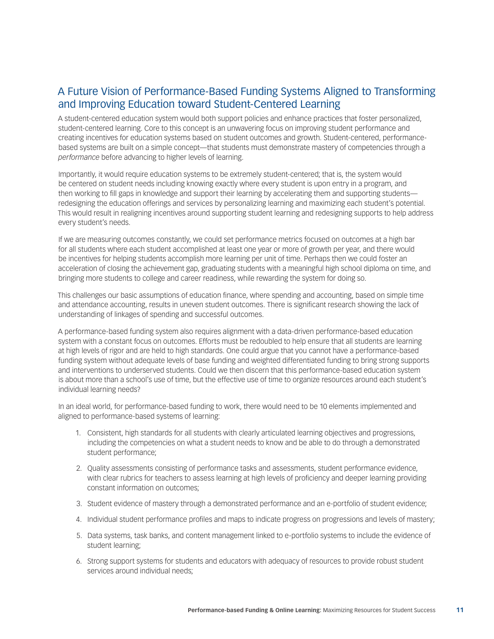### A Future Vision of Performance-Based Funding Systems Aligned to Transforming and Improving Education toward Student-Centered Learning

A student-centered education system would both support policies and enhance practices that foster personalized, student-centered learning. Core to this concept is an unwavering focus on improving student performance and creating incentives for education systems based on student outcomes and growth. Student-centered, performancebased systems are built on a simple concept—that students must demonstrate mastery of competencies through a *performance* before advancing to higher levels of learning.

Importantly, it would require education systems to be extremely student-centered; that is, the system would be centered on student needs including knowing exactly where every student is upon entry in a program, and then working to fill gaps in knowledge and support their learning by accelerating them and supporting students redesigning the education offerings and services by personalizing learning and maximizing each student's potential. This would result in realigning incentives around supporting student learning and redesigning supports to help address every student's needs.

If we are measuring outcomes constantly, we could set performance metrics focused on outcomes at a high bar for all students where each student accomplished at least one year or more of growth per year, and there would be incentives for helping students accomplish more learning per unit of time. Perhaps then we could foster an acceleration of closing the achievement gap, graduating students with a meaningful high school diploma on time, and bringing more students to college and career readiness, while rewarding the system for doing so.

This challenges our basic assumptions of education finance, where spending and accounting, based on simple time and attendance accounting, results in uneven student outcomes. There is significant research showing the lack of understanding of linkages of spending and successful outcomes.

A performance-based funding system also requires alignment with a data-driven performance-based education system with a constant focus on outcomes. Efforts must be redoubled to help ensure that all students are learning at high levels of rigor and are held to high standards. One could argue that you cannot have a performance-based funding system without adequate levels of base funding and weighted differentiated funding to bring strong supports and interventions to underserved students. Could we then discern that this performance-based education system is about more than a school's use of time, but the effective use of time to organize resources around each student's individual learning needs?

In an ideal world, for performance-based funding to work, there would need to be 10 elements implemented and aligned to performance-based systems of learning:

- 1. Consistent, high standards for all students with clearly articulated learning objectives and progressions, including the competencies on what a student needs to know and be able to do through a demonstrated student performance;
- 2. Quality assessments consisting of performance tasks and assessments, student performance evidence, with clear rubrics for teachers to assess learning at high levels of proficiency and deeper learning providing constant information on outcomes;
- 3. Student evidence of mastery through a demonstrated performance and an e-portfolio of student evidence;
- 4. Individual student performance profiles and maps to indicate progress on progressions and levels of mastery;
- 5. Data systems, task banks, and content management linked to e-portfolio systems to include the evidence of student learning;
- 6. Strong support systems for students and educators with adequacy of resources to provide robust student services around individual needs;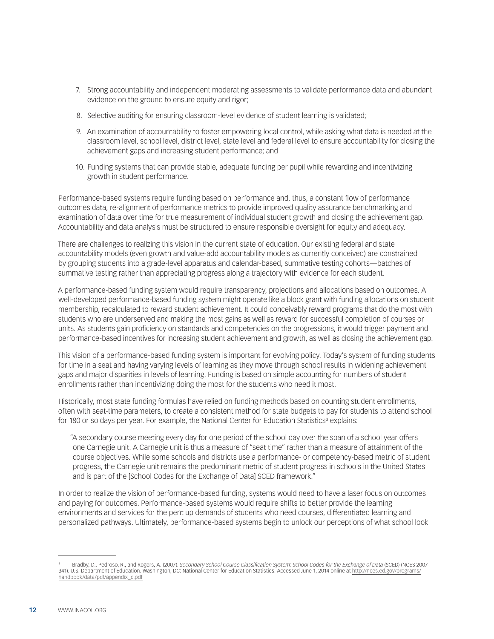- 7. Strong accountability and independent moderating assessments to validate performance data and abundant evidence on the ground to ensure equity and rigor;
- 8. Selective auditing for ensuring classroom-level evidence of student learning is validated;
- 9. An examination of accountability to foster empowering local control, while asking what data is needed at the classroom level, school level, district level, state level and federal level to ensure accountability for closing the achievement gaps and increasing student performance; and
- 10. Funding systems that can provide stable, adequate funding per pupil while rewarding and incentivizing growth in student performance.

Performance-based systems require funding based on performance and, thus, a constant flow of performance outcomes data, re-alignment of performance metrics to provide improved quality assurance benchmarking and examination of data over time for true measurement of individual student growth and closing the achievement gap. Accountability and data analysis must be structured to ensure responsible oversight for equity and adequacy.

There are challenges to realizing this vision in the current state of education. Our existing federal and state accountability models (even growth and value-add accountability models as currently conceived) are constrained by grouping students into a grade-level apparatus and calendar-based, summative testing cohorts—batches of summative testing rather than appreciating progress along a trajectory with evidence for each student.

A performance-based funding system would require transparency, projections and allocations based on outcomes. A well-developed performance-based funding system might operate like a block grant with funding allocations on student membership, recalculated to reward student achievement. It could conceivably reward programs that do the most with students who are underserved and making the most gains as well as reward for successful completion of courses or units. As students gain proficiency on standards and competencies on the progressions, it would trigger payment and performance-based incentives for increasing student achievement and growth, as well as closing the achievement gap.

This vision of a performance-based funding system is important for evolving policy. Today's system of funding students for time in a seat and having varying levels of learning as they move through school results in widening achievement gaps and major disparities in levels of learning. Funding is based on simple accounting for numbers of student enrollments rather than incentivizing doing the most for the students who need it most.

Historically, most state funding formulas have relied on funding methods based on counting student enrollments, often with seat-time parameters, to create a consistent method for state budgets to pay for students to attend school for 180 or so days per year. For example, the National Center for Education Statistics<sup>3</sup> explains:

"A secondary course meeting every day for one period of the school day over the span of a school year offers one Carnegie unit. A Carnegie unit is thus a measure of "seat time" rather than a measure of attainment of the course objectives. While some schools and districts use a performance- or competency-based metric of student progress, the Carnegie unit remains the predominant metric of student progress in schools in the United States and is part of the [School Codes for the Exchange of Data] SCED framework."

In order to realize the vision of performance-based funding, systems would need to have a laser focus on outcomes and paying for outcomes. Performance-based systems would require shifts to better provide the learning environments and services for the pent up demands of students who need courses, differentiated learning and personalized pathways. Ultimately, performance-based systems begin to unlock our perceptions of what school look

<sup>3</sup> Bradby, D., Pedroso, R., and Rogers, A. (2007). *Secondary School Course Classification System: School Codes for the Exchange of Data* (SCED) (NCES 2007- 341). U.S. Department of Education. Washington, DC: National Center for Education Statistics. Accessed June 1, 2014 online at [http://nces.ed.gov/programs/](http://nces.ed.gov/programs/handbook/data/pdf/appendix_c.pdf) [handbook/data/pdf/appendix\\_c.pdf](http://nces.ed.gov/programs/handbook/data/pdf/appendix_c.pdf)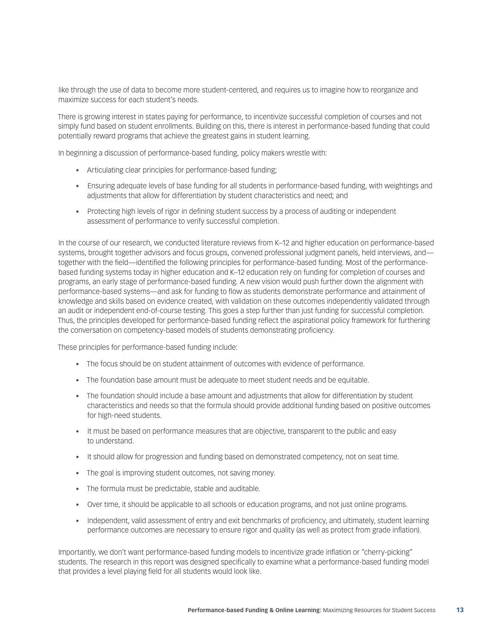like through the use of data to become more student-centered, and requires us to imagine how to reorganize and maximize success for each student's needs.

There is growing interest in states paying for performance, to incentivize successful completion of courses and not simply fund based on student enrollments. Building on this, there is interest in performance-based funding that could potentially reward programs that achieve the greatest gains in student learning.

In beginning a discussion of performance-based funding, policy makers wrestle with:

- Articulating clear principles for performance-based funding;
- • Ensuring adequate levels of base funding for all students in performance-based funding, with weightings and adjustments that allow for differentiation by student characteristics and need; and
- Protecting high levels of rigor in defining student success by a process of auditing or independent assessment of performance to verify successful completion.

In the course of our research, we conducted literature reviews from K–12 and higher education on performance-based systems, brought together advisors and focus groups, convened professional judgment panels, held interviews, and together with the field—identified the following principles for performance-based funding. Most of the performancebased funding systems today in higher education and K–12 education rely on funding for completion of courses and programs, an early stage of performance-based funding. A new vision would push further down the alignment with performance-based systems—and ask for funding to flow as students demonstrate performance and attainment of knowledge and skills based on evidence created, with validation on these outcomes independently validated through an audit or independent end-of-course testing. This goes a step further than just funding for successful completion. Thus, the principles developed for performance-based funding reflect the aspirational policy framework for furthering the conversation on competency-based models of students demonstrating proficiency.

These principles for performance-based funding include:

- • The focus should be on student attainment of outcomes with evidence of performance.
- The foundation base amount must be adequate to meet student needs and be equitable.
- The foundation should include a base amount and adjustments that allow for differentiation by student characteristics and needs so that the formula should provide additional funding based on positive outcomes for high-need students.
- It must be based on performance measures that are objective, transparent to the public and easy to understand.
- • It should allow for progression and funding based on demonstrated competency, not on seat time.
- The goal is improving student outcomes, not saving money.
- The formula must be predictable, stable and auditable.
- Over time, it should be applicable to all schools or education programs, and not just online programs.
- Independent, valid assessment of entry and exit benchmarks of proficiency, and ultimately, student learning performance outcomes are necessary to ensure rigor and quality (as well as protect from grade inflation).

Importantly, we don't want performance-based funding models to incentivize grade inflation or "cherry-picking" students. The research in this report was designed specifically to examine what a performance-based funding model that provides a level playing field for all students would look like.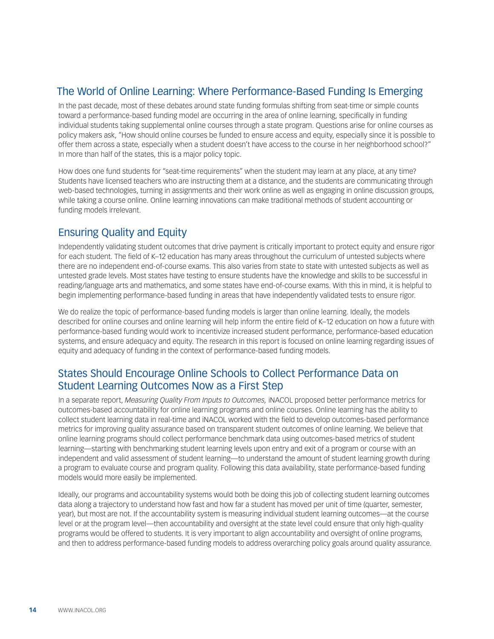### The World of Online Learning: Where Performance-Based Funding Is Emerging

In the past decade, most of these debates around state funding formulas shifting from seat-time or simple counts toward a performance-based funding model are occurring in the area of online learning, specifically in funding individual students taking supplemental online courses through a state program. Questions arise for online courses as policy makers ask, "How should online courses be funded to ensure access and equity, especially since it is possible to offer them across a state, especially when a student doesn't have access to the course in her neighborhood school?" In more than half of the states, this is a major policy topic.

How does one fund students for "seat-time requirements" when the student may learn at any place, at any time? Students have licensed teachers who are instructing them at a distance, and the students are communicating through web-based technologies, turning in assignments and their work online as well as engaging in online discussion groups, while taking a course online. Online learning innovations can make traditional methods of student accounting or funding models irrelevant.

### Ensuring Quality and Equity

Independently validating student outcomes that drive payment is critically important to protect equity and ensure rigor for each student. The field of K–12 education has many areas throughout the curriculum of untested subjects where there are no independent end-of-course exams. This also varies from state to state with untested subjects as well as untested grade levels. Most states have testing to ensure students have the knowledge and skills to be successful in reading/language arts and mathematics, and some states have end-of-course exams. With this in mind, it is helpful to begin implementing performance-based funding in areas that have independently validated tests to ensure rigor.

We do realize the topic of performance-based funding models is larger than online learning. Ideally, the models described for online courses and online learning will help inform the entire field of K–12 education on how a future with performance-based funding would work to incentivize increased student performance, performance-based education systems, and ensure adequacy and equity. The research in this report is focused on online learning regarding issues of equity and adequacy of funding in the context of performance-based funding models.

### States Should Encourage Online Schools to Collect Performance Data on Student Learning Outcomes Now as a First Step

In a separate report, *Measuring Quality From Inputs to Outcomes,* iNACOL proposed better performance metrics for outcomes-based accountability for online learning programs and online courses. Online learning has the ability to collect student learning data in real-time and iNACOL worked with the field to develop outcomes-based performance metrics for improving quality assurance based on transparent student outcomes of online learning. We believe that online learning programs should collect performance benchmark data using outcomes-based metrics of student learning—starting with benchmarking student learning levels upon entry and exit of a program or course with an independent and valid assessment of student learning—to understand the amount of student learning growth during a program to evaluate course and program quality. Following this data availability, state performance-based funding models would more easily be implemented.

Ideally, our programs and accountability systems would both be doing this job of collecting student learning outcomes data along a trajectory to understand how fast and how far a student has moved per unit of time (quarter, semester, year), but most are not. If the accountability system is measuring individual student learning outcomes—at the course level or at the program level—then accountability and oversight at the state level could ensure that only high-quality programs would be offered to students. It is very important to align accountability and oversight of online programs, and then to address performance-based funding models to address overarching policy goals around quality assurance.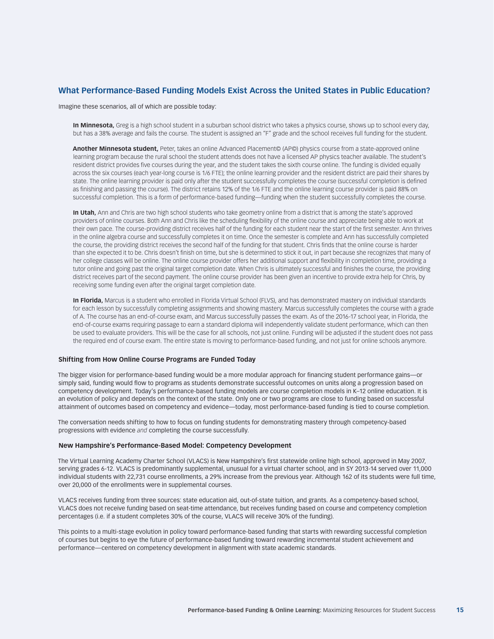#### **What Performance-Based Funding Models Exist Across the United States in Public Education?**

Imagine these scenarios, all of which are possible today:

**In Minnesota,** Greg is a high school student in a suburban school district who takes a physics course, shows up to school every day, but has a 38% average and fails the course. The student is assigned an "F" grade and the school receives full funding for the student.

**Another Minnesota student,** Peter, takes an online Advanced Placement© (AP©) physics course from a state-approved online learning program because the rural school the student attends does not have a licensed AP physics teacher available. The student's resident district provides five courses during the year, and the student takes the sixth course online. The funding is divided equally across the six courses (each year-long course is 1/6 FTE); the online learning provider and the resident district are paid their shares by state. The online learning provider is paid only after the student successfully completes the course (successful completion is defined as finishing and passing the course). The district retains 12% of the 1/6 FTE and the online learning course provider is paid 88% on successful completion. This is a form of performance-based funding—funding when the student successfully completes the course.

**In Utah,** Ann and Chris are two high school students who take geometry online from a district that is among the state's approved providers of online courses. Both Ann and Chris like the scheduling flexibility of the online course and appreciate being able to work at their own pace. The course-providing district receives half of the funding for each student near the start of the first semester. Ann thrives in the online algebra course and successfully completes it on time. Once the semester is complete and Ann has successfully completed the course, the providing district receives the second half of the funding for that student. Chris finds that the online course is harder than she expected it to be. Chris doesn't finish on time, but she is determined to stick it out, in part because she recognizes that many of her college classes will be online. The online course provider offers her additional support and flexibility in completion time, providing a tutor online and going past the original target completion date. When Chris is ultimately successful and finishes the course, the providing district receives part of the second payment. The online course provider has been given an incentive to provide extra help for Chris, by receiving some funding even after the original target completion date.

**In Florida,** Marcus is a student who enrolled in Florida Virtual School (FLVS), and has demonstrated mastery on individual standards for each lesson by successfully completing assignments and showing mastery. Marcus successfully completes the course with a grade of A. The course has an end-of-course exam, and Marcus successfully passes the exam. As of the 2016-17 school year, in Florida, the end-of-course exams requiring passage to earn a standard diploma will independently validate student performance, which can then be used to evaluate providers. This will be the case for all schools, not just online. Funding will be adjusted if the student does not pass the required end of course exam. The entire state is moving to performance-based funding, and not just for online schools anymore.

#### **Shifting from How Online Course Programs are Funded Today**

The bigger vision for performance-based funding would be a more modular approach for financing student performance gains—or simply said, funding would flow to programs as students demonstrate successful outcomes on units along a progression based on competency development. Today's performance-based funding models are course completion models in K–12 online education. It is an evolution of policy and depends on the context of the state. Only one or two programs are close to funding based on successful attainment of outcomes based on competency and evidence—today, most performance-based funding is tied to course completion.

The conversation needs shifting to how to focus on funding students for demonstrating mastery through competency-based progressions with evidence *and* completing the course successfully.

#### **New Hampshire's Performance-Based Model: Competency Development**

The Virtual Learning Academy Charter School (VLACS) is New Hampshire's first statewide online high school, approved in May 2007, serving grades 6-12. VLACS is predominantly supplemental, unusual for a virtual charter school, and in SY 2013-14 served over 11,000 individual students with 22,731 course enrollments, a 29% increase from the previous year. Although 162 of its students were full time, over 20,000 of the enrollments were in supplemental courses.

VLACS receives funding from three sources: state education aid, out-of-state tuition, and grants. As a competency-based school, VLACS does not receive funding based on seat-time attendance, but receives funding based on course and competency completion percentages (i.e. if a student completes 30% of the course, VLACS will receive 30% of the funding).

This points to a multi-stage evolution in policy toward performance-based funding that starts with rewarding successful completion of courses but begins to eye the future of performance-based funding toward rewarding incremental student achievement and performance—centered on competency development in alignment with state academic standards.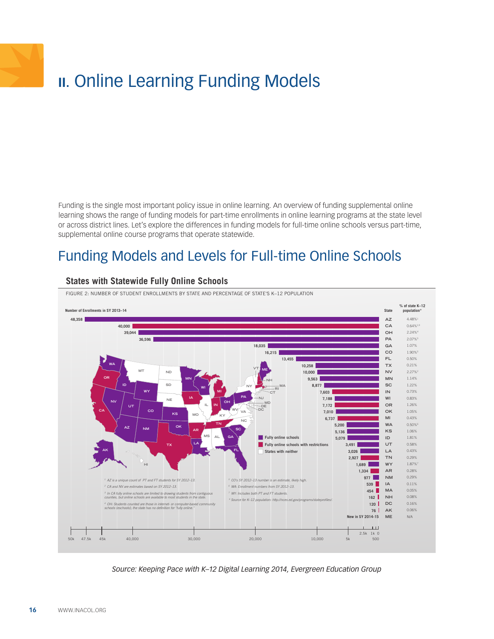# <span id="page-15-0"></span>**II.** Online Learning Funding Models

Funding is the single most important policy issue in online learning. An overview of funding supplemental online learning shows the range of funding models for part-time enrollments in online learning programs at the state level or across district lines. Let's explore the differences in funding models for full-time online schools versus part-time, supplemental online course programs that operate statewide.

## Funding Models and Levels for Full-time Online Schools



#### **States with Statewide Fully Online Schools**

*Source: Keeping Pace with K–12 Digital Learning 2014, Evergreen Education Group*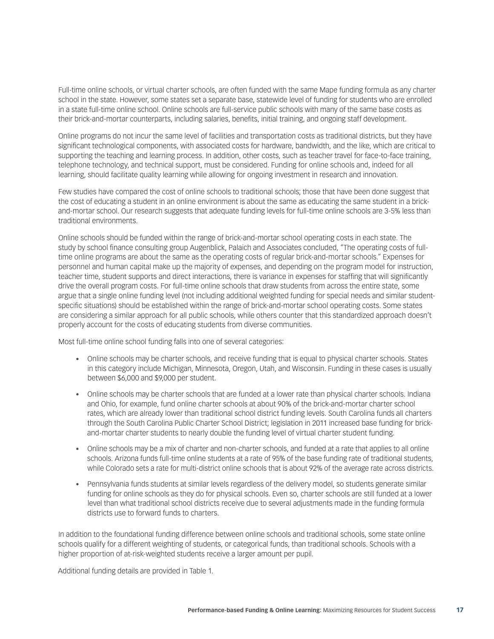Full-time online schools, or virtual charter schools, are often funded with the same Mape funding formula as any charter school in the state. However, some states set a separate base, statewide level of funding for students who are enrolled in a state full-time online school. Online schools are full-service public schools with many of the same base costs as their brick-and-mortar counterparts, including salaries, benefits, initial training, and ongoing staff development.

Online programs do not incur the same level of facilities and transportation costs as traditional districts, but they have significant technological components, with associated costs for hardware, bandwidth, and the like, which are critical to supporting the teaching and learning process. In addition, other costs, such as teacher travel for face-to-face training, telephone technology, and technical support, must be considered. Funding for online schools and, indeed for all learning, should facilitate quality learning while allowing for ongoing investment in research and innovation.

Few studies have compared the cost of online schools to traditional schools; those that have been done suggest that the cost of educating a student in an online environment is about the same as educating the same student in a brickand-mortar school. Our research suggests that adequate funding levels for full-time online schools are 3-5% less than traditional environments.

Online schools should be funded within the range of brick-and-mortar school operating costs in each state. The study by school finance consulting group Augenblick, Palaich and Associates concluded, "The operating costs of fulltime online programs are about the same as the operating costs of regular brick-and-mortar schools." Expenses for personnel and human capital make up the majority of expenses, and depending on the program model for instruction, teacher time, student supports and direct interactions, there is variance in expenses for staffing that will significantly drive the overall program costs. For full-time online schools that draw students from across the entire state, some argue that a single online funding level (not including additional weighted funding for special needs and similar studentspecific situations) should be established within the range of brick-and-mortar school operating costs. Some states are considering a similar approach for all public schools, while others counter that this standardized approach doesn't properly account for the costs of educating students from diverse communities.

Most full-time online school funding falls into one of several categories:

- • Online schools may be charter schools, and receive funding that is equal to physical charter schools. States in this category include Michigan, Minnesota, Oregon, Utah, and Wisconsin. Funding in these cases is usually between \$6,000 and \$9,000 per student.
- Online schools may be charter schools that are funded at a lower rate than physical charter schools. Indiana and Ohio, for example, fund online charter schools at about 90% of the brick-and-mortar charter school rates, which are already lower than traditional school district funding levels. South Carolina funds all charters through the South Carolina Public Charter School District; legislation in 2011 increased base funding for brickand-mortar charter students to nearly double the funding level of virtual charter student funding.
- • Online schools may be a mix of charter and non-charter schools, and funded at a rate that applies to all online schools. Arizona funds full-time online students at a rate of 95% of the base funding rate of traditional students, while Colorado sets a rate for multi-district online schools that is about 92% of the average rate across districts.
- • Pennsylvania funds students at similar levels regardless of the delivery model, so students generate similar funding for online schools as they do for physical schools. Even so, charter schools are still funded at a lower level than what traditional school districts receive due to several adjustments made in the funding formula districts use to forward funds to charters.

In addition to the foundational funding difference between online schools and traditional schools, some state online schools qualify for a different weighting of students, or categorical funds, than traditional schools. Schools with a higher proportion of at-risk-weighted students receive a larger amount per pupil.

Additional funding details are provided in Table 1.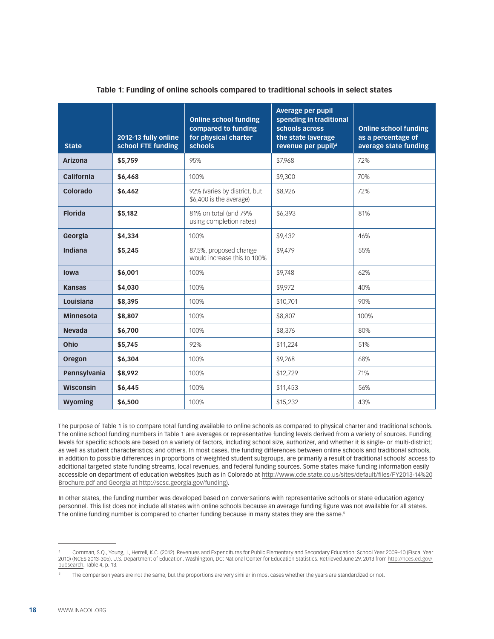| <b>State</b>     | 2012-13 fully online<br>school FTE funding | <b>Online school funding</b><br>compared to funding<br>for physical charter<br><b>schools</b> | <b>Average per pupil</b><br>spending in traditional<br>schools across<br>the state (average)<br>revenue per pupil) <sup>4</sup> | <b>Online school funding</b><br>as a percentage of<br>average state funding |
|------------------|--------------------------------------------|-----------------------------------------------------------------------------------------------|---------------------------------------------------------------------------------------------------------------------------------|-----------------------------------------------------------------------------|
| <b>Arizona</b>   | \$5,759                                    | 95%                                                                                           | \$7,968                                                                                                                         | 72%                                                                         |
| California       | \$6,468                                    | 100%                                                                                          | \$9,300                                                                                                                         | 70%                                                                         |
| Colorado         | \$6,462                                    | 92% (varies by district, but<br>\$6,400 is the average)                                       | \$8,926                                                                                                                         | 72%                                                                         |
| <b>Florida</b>   | \$5,182                                    | 81% on total (and 79%<br>using completion rates)                                              | \$6,393                                                                                                                         | 81%                                                                         |
| Georgia          | \$4,334                                    | 100%                                                                                          | \$9,432                                                                                                                         | 46%                                                                         |
| Indiana          | \$5,245                                    | 87.5%, proposed change<br>would increase this to 100%                                         | \$9,479                                                                                                                         | 55%                                                                         |
| lowa             | \$6,001                                    | 100%                                                                                          | \$9,748                                                                                                                         | 62%                                                                         |
| <b>Kansas</b>    | \$4,030                                    | 100%                                                                                          | \$9,972                                                                                                                         | 40%                                                                         |
| Louisiana        | \$8,395                                    | 100%                                                                                          | \$10,701                                                                                                                        | 90%                                                                         |
| <b>Minnesota</b> | \$8,807                                    | 100%                                                                                          | \$8,807                                                                                                                         | 100%                                                                        |
| <b>Nevada</b>    | \$6,700                                    | 100%                                                                                          | \$8,376                                                                                                                         | 80%                                                                         |
| Ohio             | \$5,745                                    | 92%                                                                                           | \$11,224                                                                                                                        | 51%                                                                         |
| Oregon           | \$6,304                                    | 100%                                                                                          | \$9,268                                                                                                                         | 68%                                                                         |
| Pennsylvania     | \$8,992                                    | 100%                                                                                          | \$12,729                                                                                                                        | 71%                                                                         |
| Wisconsin        | \$6,445                                    | 100%                                                                                          | \$11,453                                                                                                                        | 56%                                                                         |
| Wyoming          | \$6,500                                    | 100%                                                                                          | \$15,232                                                                                                                        | 43%                                                                         |

#### **Table 1: Funding of online schools compared to traditional schools in select states** 4,

The purpose of Table 1 is to compare total funding available to online schools as compared to physical charter and traditional schools. The online school funding numbers in Table 1 are averages or representative funding levels derived from a variety of sources. Funding levels for specific schools are based on a variety of factors, including school size, authorizer, and whether it is single- or multi-district; as well as student characteristics; and others. In most cases, the funding differences between online schools and traditional schools, in addition to possible differences in proportions of weighted student subgroups, are primarily a result of traditional schools' access to additional targeted state funding streams, local revenues, and federal funding sources. Some states make funding information easily accessible on department of education websites (such as in Colorado at [http://www.cde.state.co.us/sites/default/files/FY2013-14%20](http://www.cde.state.co.us/sites/default/files/FY2013-14%2520Brochure.pdf%20and%20Georgia%20at%20http://scsc.georgia.gov/funding%29) [Brochure.pdf and Georgia at http://scsc.georgia.gov/funding\)](http://www.cde.state.co.us/sites/default/files/FY2013-14%2520Brochure.pdf%20and%20Georgia%20at%20http://scsc.georgia.gov/funding%29).

In other states, the funding number was developed based on conversations with representative schools or state education agency personnel. This list does not include all states with online schools because an average funding figure was not available for all states. The online funding number is compared to charter funding because in many states they are the same.<sup>5</sup>

<sup>4</sup> Cornman, S.Q., Young, J., Herrell, K.C. (2012). Revenues and Expenditures for Public Elementary and Secondary Education: School Year 2009–10 (Fiscal Year 2010) (NCES 2013-305). U.S. Department of Education. Washington, DC: National Center for Education Statistics. Retrieved June 29, 2013 from [http://nces.ed.gov/](http://nces.ed.gov/pubsearch) [pubsearch](http://nces.ed.gov/pubsearch). Table 4, p. 13.

<sup>5</sup> The comparison years are not the same, but the proportions are very similar in most cases whether the years are standardized or not.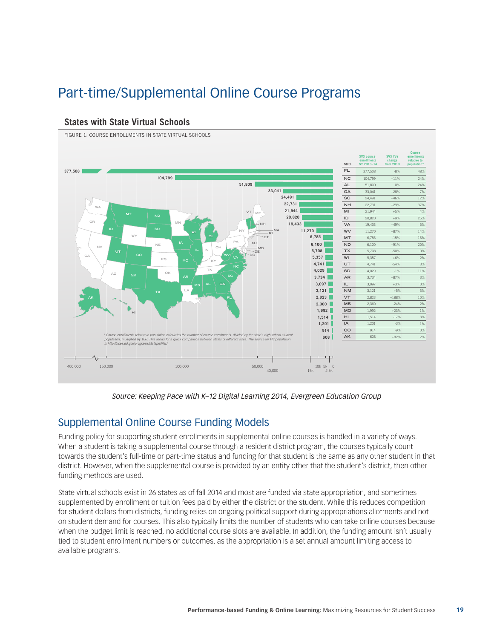# Part-time/Supplemental Online Course Programs

#### **Course SVS** co **SVS YoY enrollments enrollments SY 2013–14 change relative to State from 2013 population\* 377,508 FL** 377,508 -8% 48% **104,799 NC** 104,799 +11% 24% **51,809 AL**  $\overline{51,80}$ **33,041 GA** 33,041 +28% 7% **24,491 SC** 24,491 **22,731 NH** 22,731 +29% 37% **WA 21,944 MI** 21,944 +5% 4% **VT ME MT ND 20,820 ID** 20,820 +9% 25% **OR MN 19,433 VA** 19,433 **NH SD 11,270 WV** 11,270 +87% 14% **NY MA RI 6,785 WY CT MT** 6,785 -15% 16% **NE PA 6,100 ND** 6,100  $+91\%$ **NJ NV OH MD 5,708 IL IN TX** 5,708 -50% 0% **UT DE 5,357 WV DC CA KS VA WI** 5,357 +6% 2% **MO KY 4,741 UT** 4,741 -54% 3% **NC 4,029 TN SD** 4,029  $-1\%$  11% **OK AZ 3,734 NM AR SC AR** 3,734 +87% 3% **3,097 AL GA IL** 3,097 +3% 0% **MS 3,121 LA NM** 3,121 +5% 3% **TX 2,823 VT** 2,823 +188% 10% **FL 2,360 MS** 2,360 -24% 2% **1,992 MO** 1,992 +23% 1% **HI 1,514 HI** 1,514 -17% 3% **1,201 IA** 1,201 -3% 1% **914 CO** 914 -9% 0% \* Course enrollments relative to population calculates the number of course enrollments, divided by the state's high school student<br>population, multiplied by 100. This allows for a quick comparison between states of differ **608 AK** 608 +82% 2%*is http://nces.ed.gov/programs/stateprofiles/.* ₩ 400,000 150,000 100,000 50,000 10k 5k 0 2.5k  $40,000$

#### **States with State Virtual Schools**

FIGURE 1: COURSE ENROLLMENTS IN STATE VIRTUAL SCHOOLS

*Source: Keeping Pace with K–12 Digital Learning 2014, Evergreen Education Group*

### Supplemental Online Course Funding Models

Funding policy for supporting student enrollments in supplemental online courses is handled in a variety of ways. When a student is taking a supplemental course through a resident district program, the courses typically count towards the student's full-time or part-time status and funding for that student is the same as any other student in that district. However, when the supplemental course is provided by an entity other that the student's district, then other funding methods are used.

State virtual schools exist in 26 states as of fall 2014 and most are funded via state appropriation, and sometimes supplemented by enrollment or tuition fees paid by either the district or the student. While this reduces competition for student dollars from districts, funding relies on ongoing political support during appropriations allotments and not on student demand for courses. This also typically limits the number of students who can take online courses because when the budget limit is reached, no additional course slots are available. In addition, the funding amount isn't usually tied to student enrollment numbers or outcomes, as the appropriation is a set annual amount limiting access to available programs.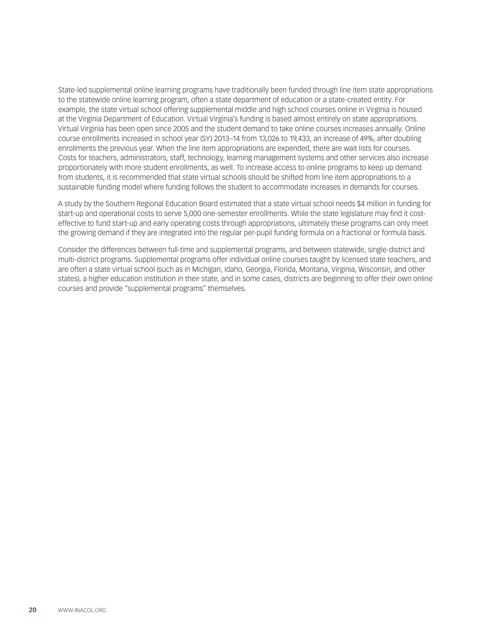State-led supplemental online learning programs have traditionally been funded through line item state appropriations to the statewide online learning program, often a state department of education or a state-created entity. For example, the state virtual school offering supplemental middle and high school courses online in Virginia is housed at the Virginia Department of Education. Virtual Virginia's funding is based almost entirely on state appropriations. Virtual Virginia has been open since 2005 and the student demand to take online courses increases annually. Online course enrollments increased in school year (SY) 2013–14 from 13,026 to 19,433, an increase of 49%, after doubling enrollments the previous year. When the line item appropriations are expended, there are wait lists for courses. Costs for teachers, administrators, staff, technology, learning management systems and other services also increase proportionately with more student enrollments, as well. To increase access to online programs to keep up demand from students, it is recommended that state virtual schools should be shifted from line item appropriations to a sustainable funding model where funding follows the student to accommodate increases in demands for courses.

A study by the Southern Regional Education Board estimated that a state virtual school needs \$4 million in funding for start-up and operational costs to serve 5,000 one-semester enrollments. While the state legislature may find it costeffective to fund start-up and early operating costs through appropriations, ultimately these programs can only meet the growing demand if they are integrated into the regular per-pupil funding formula on a fractional or formula basis.

Consider the differences between full-time and supplemental programs, and between statewide, single-district and multi-district programs. Supplemental programs offer individual online courses taught by licensed state teachers, and are often a state virtual school (such as in Michigan, Idaho, Georgia, Florida, Montana, Virginia, Wisconsin, and other states), a higher education institution in their state, and in some cases, districts are beginning to offer their own online courses and provide "supplemental programs" themselves.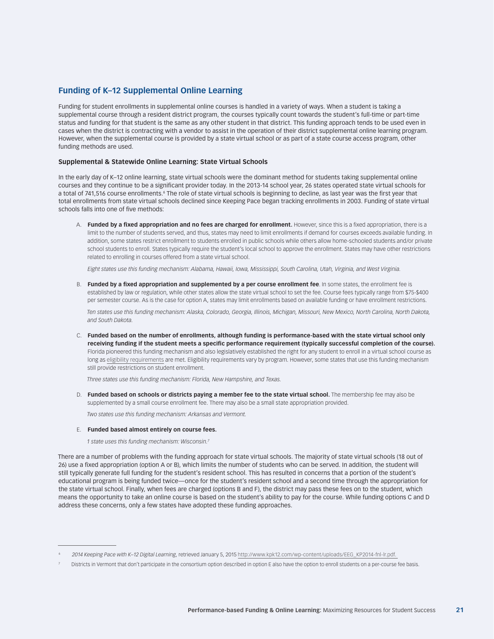#### **Funding of K–12 Supplemental Online Learning**

Funding for student enrollments in supplemental online courses is handled in a variety of ways. When a student is taking a supplemental course through a resident district program, the courses typically count towards the student's full-time or part-time status and funding for that student is the same as any other student in that district. This funding approach tends to be used even in cases when the district is contracting with a vendor to assist in the operation of their district supplemental online learning program. However, when the supplemental course is provided by a state virtual school or as part of a state course access program, other funding methods are used.

#### **Supplemental & Statewide Online Learning: State Virtual Schools**

In the early day of K–12 online learning, state virtual schools were the dominant method for students taking supplemental online courses and they continue to be a significant provider today. In the 2013-14 school year, 26 states operated state virtual schools for a total of 741,516 course enrollments.' The role of state virtual schools is beginning to decline, as last year was the first year that total enrollments from state virtual schools declined since Keeping Pace began tracking enrollments in 2003. Funding of state virtual schools falls into one of five methods:

A. **Funded by a fixed appropriation and no fees are charged for enrollment.** However, since this is a fixed appropriation, there is a limit to the number of students served, and thus, states may need to limit enrollments if demand for courses exceeds available funding. In addition, some states restrict enrollment to students enrolled in public schools while others allow home-schooled students and/or private school students to enroll. States typically require the student's local school to approve the enrollment. States may have other restrictions related to enrolling in courses offered from a state virtual school.

*Eight states use this funding mechanism: Alabama, Hawaii, Iowa, Mississippi, South Carolina, Utah, Virginia, and West Virginia.*

B. **Funded by a fixed appropriation and supplemented by a per course enrollment fee**. In some states, the enrollment fee is established by law or regulation, while other states allow the state virtual school to set the fee. Course fees typically range from \$75-\$400 per semester course. As is the case for option A, states may limit enrollments based on available funding or have enrollment restrictions.

*Ten states use this funding mechanism: Alaska, Colorado, Georgia, Illinois, Michigan, Missouri, New Mexico, North Carolina, North Dakota, and South Dakota.*

C. **Funded based on the number of enrollments, although funding is performance-based with the state virtual school only receiving funding if the student meets a specific performance requirement (typically successful completion of the course).** Florida pioneered this funding mechanism and also legislatively established the right for any student to enroll in a virtual school course as long as [eligibility requirements](#page-4-0) are met. Eligibility requirements vary by program. However, some states that use this funding mechanism still provide restrictions on student enrollment.

*Three states use this funding mechanism: Florida, New Hampshire, and Texas.*

D. **Funded based on schools or districts paying a member fee to the state virtual school.** The membership fee may also be supplemented by a small course enrollment fee. There may also be a small state appropriation provided.

*Two states use this funding mechanism: Arkansas and Vermont.*

#### E. **Funded based almost entirely on course fees.**

*1 state uses this funding mechanism: Wisconsin.7*

There are a number of problems with the funding approach for state virtual schools. The majority of state virtual schools (18 out of 26) use a fixed appropriation (option A or B), which limits the number of students who can be served. In addition, the student will still typically generate full funding for the student's resident school. This has resulted in concerns that a portion of the student's educational program is being funded twice—once for the student's resident school and a second time through the appropriation for the state virtual school. Finally, when fees are charged (options B and F), the district may pass these fees on to the student, which means the opportunity to take an online course is based on the student's ability to pay for the course. While funding options C and D address these concerns, only a few states have adopted these funding approaches.

<sup>6</sup> *2014 Keeping Pace with K–12 Digital Learning*, retrieved January 5, 2015 http://www.kpk12.com/wp-content/uploads/EEG\_KP2014-fnl-lr.pdf.

Districts in Vermont that don't participate in the consortium option described in option E also have the option to enroll students on a per-course fee basis.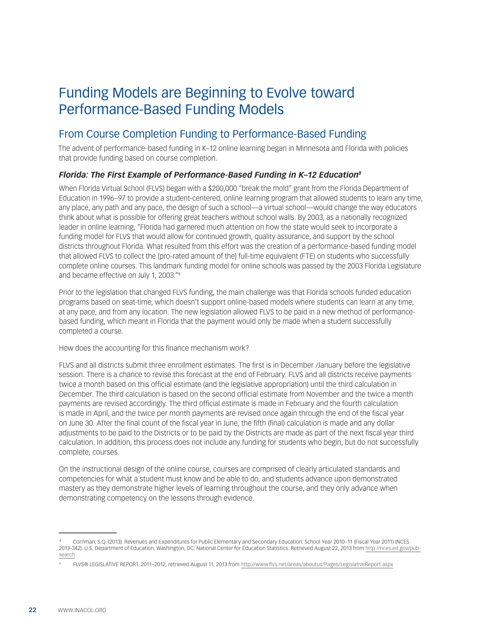# Funding Models are Beginning to Evolve toward Performance-Based Funding Models

### From Course Completion Funding to Performance-Based Funding

The advent of performance-based funding in K–12 online learning began in Minnesota and Florida with policies that provide funding based on course completion.

#### *Florida: The First Example of Performance-Based Funding in K–12 Education8*

When Florida Virtual School (FLVS) began with a \$200,000 "break the mold" grant from the Florida Department of Education in 1996–97 to provide a student-centered, online learning program that allowed students to learn any time, any place, any path and any pace, the design of such a school—a virtual school—would change the way educators think about what is possible for offering great teachers without school walls. By 2003, as a nationally recognized leader in online learning, "Florida had garnered much attention on how the state would seek to incorporate a funding model for FLVS that would allow for continued growth, quality assurance, and support by the school districts throughout Florida. What resulted from this effort was the creation of a performance-based funding model that allowed FLVS to collect the [pro-rated amount of the] full-time equivalent (FTE) on students who successfully complete online courses. This landmark funding model for online schools was passed by the 2003 Florida Legislature and became effective on July 1, 2003."9

Prior to the legislation that changed FLVS funding, the main challenge was that Florida schools funded education programs based on seat-time, which doesn't support online-based models where students can learn at any time, at any pace, and from any location. The new legislation allowed FLVS to be paid in a new method of performancebased funding, which meant in Florida that the payment would only be made when a student successfully completed a course.

How does the accounting for this finance mechanism work?

FLVS and all districts submit three enrollment estimates. The first is in December /January before the legislative session. There is a chance to revise this forecast at the end of February. FLVS and all districts receive payments twice a month based on this official estimate (and the legislative appropriation) until the third calculation in December. The third calculation is based on the second official estimate from November and the twice a month payments are revised accordingly. The third official estimate is made in February and the fourth calculation is made in April, and the twice per month payments are revised once again through the end of the fiscal year on June 30. After the final count of the fiscal year in June, the fifth (final) calculation is made and any dollar adjustments to be paid to the Districts or to be paid by the Districts are made as part of the next fiscal year third calculation. In addition, this process does not include any funding for students who begin, but do not successfully complete, courses.

On the instructional design of the online course, courses are comprised of clearly articulated standards and competencies for what a student must know and be able to do, and students advance upon demonstrated mastery as they demonstrate higher levels of learning throughout the course, and they only advance when demonstrating competency on the lessons through evidence.

<sup>°</sup> Cornman, S.Q. (2013). Revenues and Expenditures for Public Elementary and Secondary Education: School Year 2010–11 (Fiscal Year 2011) (NCES<br>2013-342). U.S. Department of Education. Washington, DC: National Center for Edu [search](http://nces.ed.gov/pubsearch)

<sup>9</sup> FLVS® LEGISLATIVE REPORT. 2011–2012, retrieved August 11, 2013 from <http://www.flvs.net/areas/aboutus/Pages/LegislativeReport.aspx>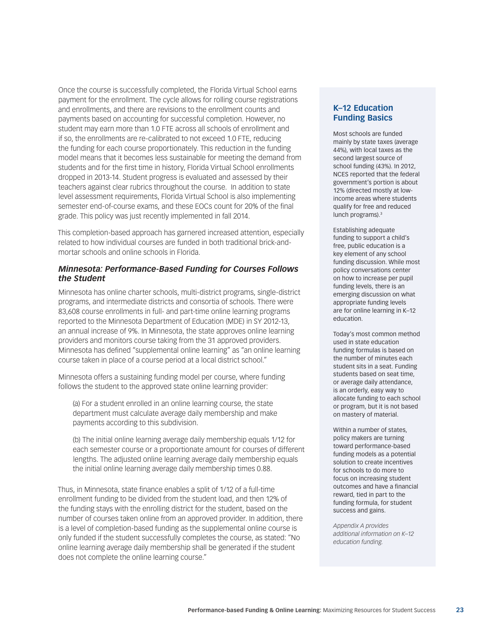Once the course is successfully completed, the Florida Virtual School earns payment for the enrollment. The cycle allows for rolling course registrations and enrollments, and there are revisions to the enrollment counts and payments based on accounting for successful completion. However, no student may earn more than 1.0 FTE across all schools of enrollment and if so, the enrollments are re-calibrated to not exceed 1.0 FTE, reducing the funding for each course proportionately. This reduction in the funding model means that it becomes less sustainable for meeting the demand from students and for the first time in history, Florida Virtual School enrollments dropped in 2013-14. Student progress is evaluated and assessed by their teachers against clear rubrics throughout the course. In addition to state level assessment requirements, Florida Virtual School is also implementing semester end-of-course exams, and these EOCs count for 20% of the final grade. This policy was just recently implemented in fall 2014.

This completion-based approach has garnered increased attention, especially related to how individual courses are funded in both traditional brick-andmortar schools and online schools in Florida.

#### *Minnesota: Performance-Based Funding for Courses Follows the Student*

Minnesota has online charter schools, multi-district programs, single-district programs, and intermediate districts and consortia of schools. There were 83,608 course enrollments in full- and part-time online learning programs reported to the Minnesota Department of Education (MDE) in SY 2012-13, an annual increase of 9%. In Minnesota, the state approves online learning providers and monitors course taking from the 31 approved providers. Minnesota has defined "supplemental online learning" as "an online learning course taken in place of a course period at a local district school."

Minnesota offers a sustaining funding model per course, where funding follows the student to the approved state online learning provider:

(a) For a student enrolled in an online learning course, the state department must calculate average daily membership and make payments according to this subdivision.

(b) The initial online learning average daily membership equals 1/12 for each semester course or a proportionate amount for courses of different lengths. The adjusted online learning average daily membership equals the initial online learning average daily membership times 0.88.

Thus, in Minnesota, state finance enables a split of 1/12 of a full-time enrollment funding to be divided from the student load, and then 12% of the funding stays with the enrolling district for the student, based on the number of courses taken online from an approved provider. In addition, there is a level of completion-based funding as the supplemental online course is only funded if the student successfully completes the course, as stated: "No online learning average daily membership shall be generated if the student does not complete the online learning course."

#### **K–12 Education Funding Basics**

Most schools are funded mainly by state taxes (average 44%), with local taxes as the second largest source of school funding (43%). In 2012, NCES reported that the federal government's portion is about 12% (directed mostly at lowincome areas where students qualify for free and reduced lunch programs).<sup>3</sup>

Establishing adequate funding to support a child's free, public education is a key element of any school funding discussion. While most policy conversations center on how to increase per pupil funding levels, there is an emerging discussion on what appropriate funding levels are for online learning in K–12 education.

Today's most common method used in state education funding formulas is based on the number of minutes each student sits in a seat. Funding students based on seat time, or average daily attendance, is an orderly, easy way to allocate funding to each school or program, but it is not based on mastery of material.

Within a number of states, policy makers are turning toward performance-based funding models as a potential solution to create incentives for schools to do more to focus on increasing student outcomes and have a financial reward, tied in part to the funding formula, for student success and gains.

*Appendix A provides additional information on K–12 education funding.*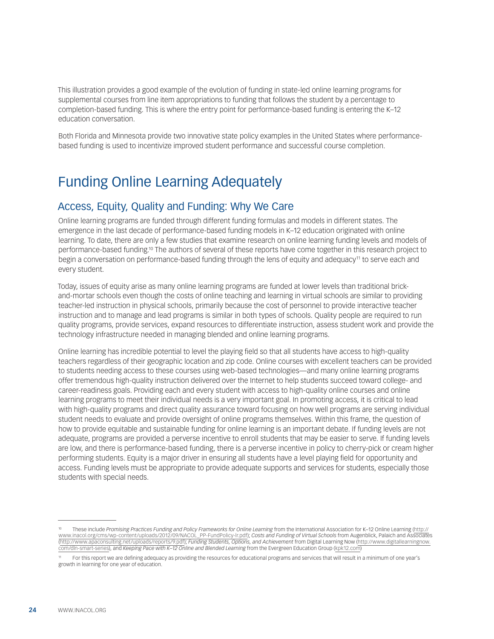This illustration provides a good example of the evolution of funding in state-led online learning programs for supplemental courses from line item appropriations to funding that follows the student by a percentage to completion-based funding. This is where the entry point for performance-based funding is entering the K–12 education conversation.

Both Florida and Minnesota provide two innovative state policy examples in the United States where performancebased funding is used to incentivize improved student performance and successful course completion.

## Funding Online Learning Adequately

### Access, Equity, Quality and Funding: Why We Care

Online learning programs are funded through different funding formulas and models in different states. The emergence in the last decade of performance-based funding models in K–12 education originated with online learning. To date, there are only a few studies that examine research on online learning funding levels and models of performance-based funding.10 The authors of several of these reports have come together in this research project to begin a conversation on performance-based funding through the lens of equity and adequacy<sup>11</sup> to serve each and every student.

Today, issues of equity arise as many online learning programs are funded at lower levels than traditional brickand-mortar schools even though the costs of online teaching and learning in virtual schools are similar to providing teacher-led instruction in physical schools, primarily because the cost of personnel to provide interactive teacher instruction and to manage and lead programs is similar in both types of schools. Quality people are required to run quality programs, provide services, expand resources to differentiate instruction, assess student work and provide the technology infrastructure needed in managing blended and online learning programs.

Online learning has incredible potential to level the playing field so that all students have access to high-quality teachers regardless of their geographic location and zip code. Online courses with excellent teachers can be provided to students needing access to these courses using web-based technologies—and many online learning programs offer tremendous high-quality instruction delivered over the Internet to help students succeed toward college- and career-readiness goals. Providing each and every student with access to high-quality online courses and online learning programs to meet their individual needs is a very important goal. In promoting access, it is critical to lead with high-quality programs and direct quality assurance toward focusing on how well programs are serving individual student needs to evaluate and provide oversight of online programs themselves. Within this frame, the question of how to provide equitable and sustainable funding for online learning is an important debate. If funding levels are not adequate, programs are provided a perverse incentive to enroll students that may be easier to serve. If funding levels are low, and there is performance-based funding, there is a perverse incentive in policy to cherry-pick or cream higher performing students. Equity is a major driver in ensuring all students have a level playing field for opportunity and access. Funding levels must be appropriate to provide adequate supports and services for students, especially those students with special needs.

<sup>10</sup> These include *Promising Practices Funding and Policy Frameworks for Online Learning* from the International Association for K–12 Online Learning [\(http://](http://www.inacol.org/cms/wp-content/uploads/2012/09/NACOL_PP-FundPolicy-lr.pdf) [www.inacol.org/cms/wp-content/uploads/2012/09/NACOL\\_PP-FundPolicy-lr.pdf\)](http://www.inacol.org/cms/wp-content/uploads/2012/09/NACOL_PP-FundPolicy-lr.pdf); *Costs and Funding of Virtual Schools* from Augenblick, Palaich and Associates [\(http://www.apaconsulting.net/uploads/reports/9.pdf\)](http://www.apaconsulting.net/uploads/reports/9.pdf); *Funding Students, Options, and Achievement* from Digital Learning Now ([http://www.digitallearningnow.](http://www.digitallearningnow.com/dln-smart-series) [com/dln-smart-series](http://www.digitallearningnow.com/dln-smart-series)), and *Keeping Pace with K–12 Online and Blended Learning* from the Evergreen Education Group ([kpk12.com\)](http://kpk12.com)

<sup>11</sup> For this report we are defining adequacy as providing the resources for educational programs and services that will result in a minimum of one year's growth in learning for one year of education.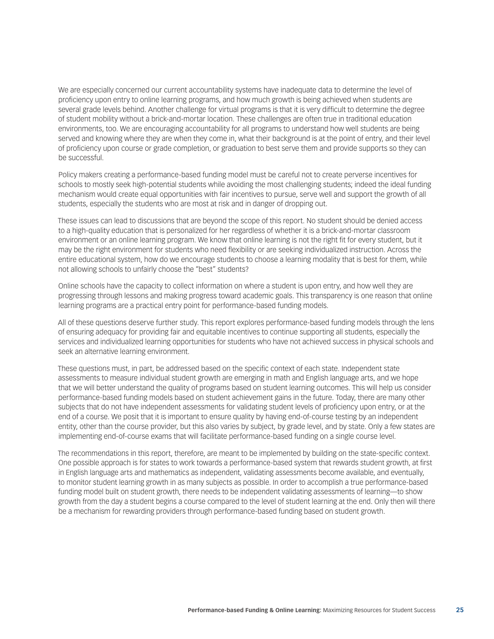We are especially concerned our current accountability systems have inadequate data to determine the level of proficiency upon entry to online learning programs, and how much growth is being achieved when students are several grade levels behind. Another challenge for virtual programs is that it is very difficult to determine the degree of student mobility without a brick-and-mortar location. These challenges are often true in traditional education environments, too. We are encouraging accountability for all programs to understand how well students are being served and knowing where they are when they come in, what their background is at the point of entry, and their level of proficiency upon course or grade completion, or graduation to best serve them and provide supports so they can be successful.

Policy makers creating a performance-based funding model must be careful not to create perverse incentives for schools to mostly seek high-potential students while avoiding the most challenging students; indeed the ideal funding mechanism would create equal opportunities with fair incentives to pursue, serve well and support the growth of all students, especially the students who are most at risk and in danger of dropping out.

These issues can lead to discussions that are beyond the scope of this report. No student should be denied access to a high-quality education that is personalized for her regardless of whether it is a brick-and-mortar classroom environment or an online learning program. We know that online learning is not the right fit for every student, but it may be the right environment for students who need flexibility or are seeking individualized instruction. Across the entire educational system, how do we encourage students to choose a learning modality that is best for them, while not allowing schools to unfairly choose the "best" students?

Online schools have the capacity to collect information on where a student is upon entry, and how well they are progressing through lessons and making progress toward academic goals. This transparency is one reason that online learning programs are a practical entry point for performance-based funding models.

All of these questions deserve further study. This report explores performance-based funding models through the lens of ensuring adequacy for providing fair and equitable incentives to continue supporting all students, especially the services and individualized learning opportunities for students who have not achieved success in physical schools and seek an alternative learning environment.

These questions must, in part, be addressed based on the specific context of each state. Independent state assessments to measure individual student growth are emerging in math and English language arts, and we hope that we will better understand the quality of programs based on student learning outcomes. This will help us consider performance-based funding models based on student achievement gains in the future. Today, there are many other subjects that do not have independent assessments for validating student levels of proficiency upon entry, or at the end of a course. We posit that it is important to ensure quality by having end-of-course testing by an independent entity, other than the course provider, but this also varies by subject, by grade level, and by state. Only a few states are implementing end-of-course exams that will facilitate performance-based funding on a single course level.

The recommendations in this report, therefore, are meant to be implemented by building on the state-specific context. One possible approach is for states to work towards a performance-based system that rewards student growth, at first in English language arts and mathematics as independent, validating assessments become available, and eventually, to monitor student learning growth in as many subjects as possible. In order to accomplish a true performance-based funding model built on student growth, there needs to be independent validating assessments of learning—to show growth from the day a student begins a course compared to the level of student learning at the end. Only then will there be a mechanism for rewarding providers through performance-based funding based on student growth.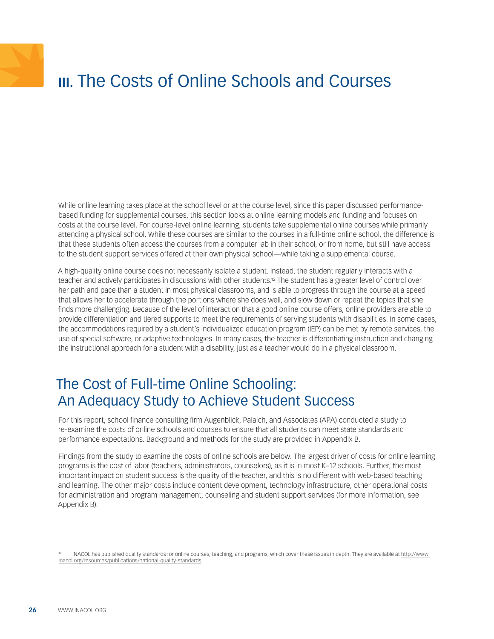# <span id="page-25-0"></span>**III.** The Costs of Online Schools and Courses

While online learning takes place at the school level or at the course level, since this paper discussed performancebased funding for supplemental courses, this section looks at online learning models and funding and focuses on costs at the course level. For course-level online learning, students take supplemental online courses while primarily attending a physical school. While these courses are similar to the courses in a full-time online school, the difference is that these students often access the courses from a computer lab in their school, or from home, but still have access to the student support services offered at their own physical school—while taking a supplemental course.

A high-quality online course does not necessarily isolate a student. Instead, the student regularly interacts with a teacher and actively participates in discussions with other students.12 The student has a greater level of control over her path and pace than a student in most physical classrooms, and is able to progress through the course at a speed that allows her to accelerate through the portions where she does well, and slow down or repeat the topics that she finds more challenging. Because of the level of interaction that a good online course offers, online providers are able to provide differentiation and tiered supports to meet the requirements of serving students with disabilities. In some cases, the accommodations required by a student's individualized education program (IEP) can be met by remote services, the use of special software, or adaptive technologies. In many cases, the teacher is differentiating instruction and changing the instructional approach for a student with a disability, just as a teacher would do in a physical classroom.

## The Cost of Full-time Online Schooling: An Adequacy Study to Achieve Student Success

For this report, school finance consulting firm Augenblick, Palaich, and Associates (APA) conducted a study to re-examine the costs of online schools and courses to ensure that all students can meet state standards and performance expectations. Background and methods for the study are provided in Appendix B.

Findings from the study to examine the costs of online schools are below. The largest driver of costs for online learning programs is the cost of labor (teachers, administrators, counselors), as it is in most K–12 schools. Further, the most important impact on student success is the quality of the teacher, and this is no different with web-based teaching and learning. The other major costs include content development, technology infrastructure, other operational costs for administration and program management, counseling and student support services (for more information, see Appendix B).

<sup>12</sup> INACOL has published quality standards for online courses, teaching, and programs, which cover these issues in depth. They are available at [http://www.](http://www.inacol.org/resources/publications/national-quality-standards) [inacol.org/resources/publications/national-quality-standards.](http://www.inacol.org/resources/publications/national-quality-standards)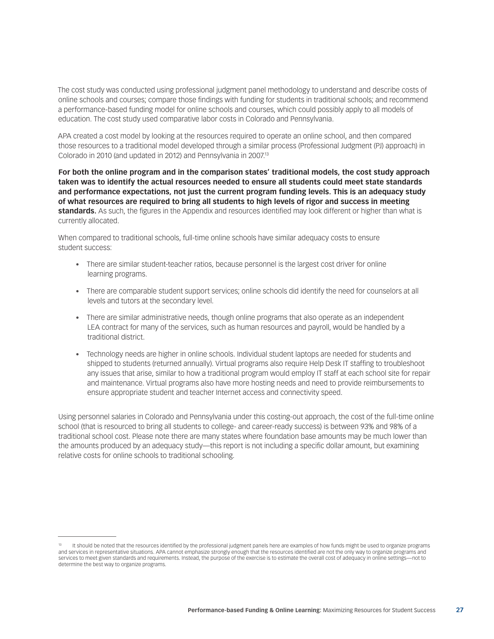The cost study was conducted using professional judgment panel methodology to understand and describe costs of online schools and courses; compare those findings with funding for students in traditional schools; and recommend a performance-based funding model for online schools and courses, which could possibly apply to all models of education. The cost study used comparative labor costs in Colorado and Pennsylvania.

APA created a cost model by looking at the resources required to operate an online school, and then compared those resources to a traditional model developed through a similar process (Professional Judgment (PJ) approach) in Colorado in 2010 (and updated in 2012) and Pennsylvania in 2007.13

**For both the online program and in the comparison states' traditional models, the cost study approach taken was to identify the actual resources needed to ensure all students could meet state standards and performance expectations, not just the current program funding levels. This is an adequacy study of what resources are required to bring all students to high levels of rigor and success in meeting standards.** As such, the figures in the Appendix and resources identified may look different or higher than what is currently allocated.

When compared to traditional schools, full-time online schools have similar adequacy costs to ensure student success:

- There are similar student-teacher ratios, because personnel is the largest cost driver for online learning programs.
- • There are comparable student support services; online schools did identify the need for counselors at all levels and tutors at the secondary level.
- There are similar administrative needs, though online programs that also operate as an independent LEA contract for many of the services, such as human resources and payroll, would be handled by a traditional district.
- • Technology needs are higher in online schools. Individual student laptops are needed for students and shipped to students (returned annually). Virtual programs also require Help Desk IT staffing to troubleshoot any issues that arise, similar to how a traditional program would employ IT staff at each school site for repair and maintenance. Virtual programs also have more hosting needs and need to provide reimbursements to ensure appropriate student and teacher Internet access and connectivity speed.

Using personnel salaries in Colorado and Pennsylvania under this costing-out approach, the cost of the full-time online school (that is resourced to bring all students to college- and career-ready success) is between 93% and 98% of a traditional school cost. Please note there are many states where foundation base amounts may be much lower than the amounts produced by an adequacy study—this report is not including a specific dollar amount, but examining relative costs for online schools to traditional schooling.

<sup>13</sup> It should be noted that the resources identified by the professional judgment panels here are examples of how funds might be used to organize programs and services in representative situations. APA cannot emphasize strongly enough that the resources identified are not the only way to organize programs and services to meet given standards and requirements. Instead, the purpose of the exercise is to estimate the overall cost of adequacy in online settings—not to determine the best way to organize programs.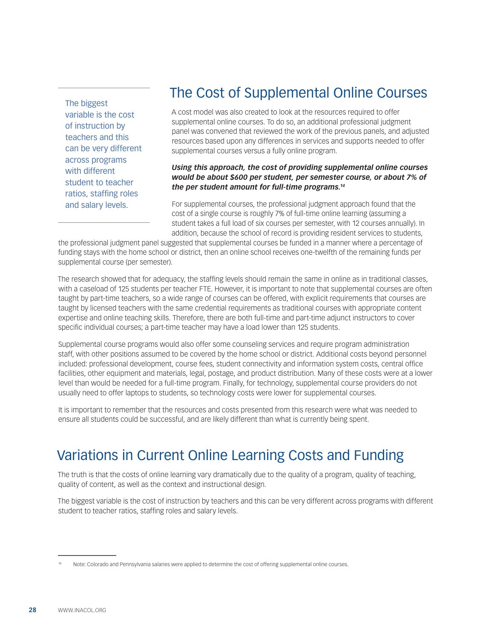The biggest variable is the cost of instruction by teachers and this can be very different across programs with different student to teacher ratios, staffing roles and salary levels.

# The Cost of Supplemental Online Courses

A cost model was also created to look at the resources required to offer supplemental online courses. To do so, an additional professional judgment panel was convened that reviewed the work of the previous panels, and adjusted resources based upon any differences in services and supports needed to offer supplemental courses versus a fully online program.

#### *Using this approach, the cost of providing supplemental online courses would be about \$600 per student, per semester course, or about 7% of the per student amount for full-time programs.14*

For supplemental courses, the professional judgment approach found that the cost of a single course is roughly 7% of full-time online learning (assuming a student takes a full load of six courses per semester, with 12 courses annually). In addition, because the school of record is providing resident services to students,

the professional judgment panel suggested that supplemental courses be funded in a manner where a percentage of funding stays with the home school or district, then an online school receives one-twelfth of the remaining funds per supplemental course (per semester).

The research showed that for adequacy, the staffing levels should remain the same in online as in traditional classes, with a caseload of 125 students per teacher FTE. However, it is important to note that supplemental courses are often taught by part-time teachers, so a wide range of courses can be offered, with explicit requirements that courses are taught by licensed teachers with the same credential requirements as traditional courses with appropriate content expertise and online teaching skills. Therefore, there are both full-time and part-time adjunct instructors to cover specific individual courses; a part-time teacher may have a load lower than 125 students.

Supplemental course programs would also offer some counseling services and require program administration staff, with other positions assumed to be covered by the home school or district. Additional costs beyond personnel included: professional development, course fees, student connectivity and information system costs, central office facilities, other equipment and materials, legal, postage, and product distribution. Many of these costs were at a lower level than would be needed for a full-time program. Finally, for technology, supplemental course providers do not usually need to offer laptops to students, so technology costs were lower for supplemental courses.

It is important to remember that the resources and costs presented from this research were what was needed to ensure all students could be successful, and are likely different than what is currently being spent.

# Variations in Current Online Learning Costs and Funding

The truth is that the costs of online learning vary dramatically due to the quality of a program, quality of teaching, quality of content, as well as the context and instructional design.

The biggest variable is the cost of instruction by teachers and this can be very different across programs with different student to teacher ratios, staffing roles and salary levels.

Note: Colorado and Pennsylvania salaries were applied to determine the cost of offering supplemental online courses.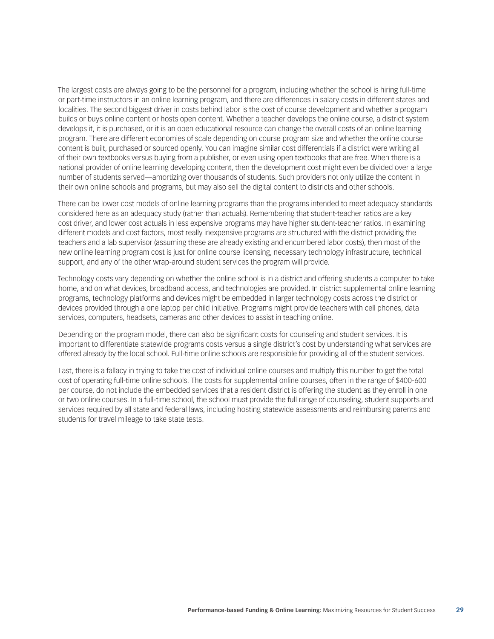The largest costs are always going to be the personnel for a program, including whether the school is hiring full-time or part-time instructors in an online learning program, and there are differences in salary costs in different states and localities. The second biggest driver in costs behind labor is the cost of course development and whether a program builds or buys online content or hosts open content. Whether a teacher develops the online course, a district system develops it, it is purchased, or it is an open educational resource can change the overall costs of an online learning program. There are different economies of scale depending on course program size and whether the online course content is built, purchased or sourced openly. You can imagine similar cost differentials if a district were writing all of their own textbooks versus buying from a publisher, or even using open textbooks that are free. When there is a national provider of online learning developing content, then the development cost might even be divided over a large number of students served—amortizing over thousands of students. Such providers not only utilize the content in their own online schools and programs, but may also sell the digital content to districts and other schools.

There can be lower cost models of online learning programs than the programs intended to meet adequacy standards considered here as an adequacy study (rather than actuals). Remembering that student-teacher ratios are a key cost driver, and lower cost actuals in less expensive programs may have higher student-teacher ratios. In examining different models and cost factors, most really inexpensive programs are structured with the district providing the teachers and a lab supervisor (assuming these are already existing and encumbered labor costs), then most of the new online learning program cost is just for online course licensing, necessary technology infrastructure, technical support, and any of the other wrap-around student services the program will provide.

Technology costs vary depending on whether the online school is in a district and offering students a computer to take home, and on what devices, broadband access, and technologies are provided. In district supplemental online learning programs, technology platforms and devices might be embedded in larger technology costs across the district or devices provided through a one laptop per child initiative. Programs might provide teachers with cell phones, data services, computers, headsets, cameras and other devices to assist in teaching online.

Depending on the program model, there can also be significant costs for counseling and student services. It is important to differentiate statewide programs costs versus a single district's cost by understanding what services are offered already by the local school. Full-time online schools are responsible for providing all of the student services.

Last, there is a fallacy in trying to take the cost of individual online courses and multiply this number to get the total cost of operating full-time online schools. The costs for supplemental online courses, often in the range of \$400-600 per course, do not include the embedded services that a resident district is offering the student as they enroll in one or two online courses. In a full-time school, the school must provide the full range of counseling, student supports and services required by all state and federal laws, including hosting statewide assessments and reimbursing parents and students for travel mileage to take state tests.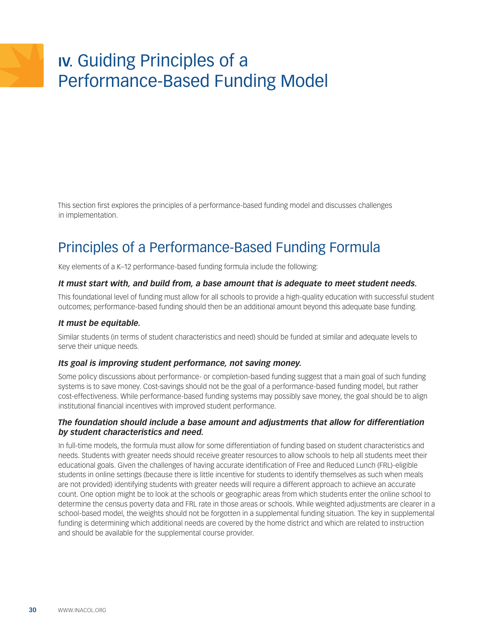# <span id="page-29-0"></span>**IV.** Guiding Principles of a Performance-Based Funding Model

This section first explores the principles of a performance-based funding model and discusses challenges in implementation.

# Principles of a Performance-Based Funding Formula

Key elements of a K–12 performance-based funding formula include the following:

#### *It must start with, and build from, a base amount that is adequate to meet student needs.*

This foundational level of funding must allow for all schools to provide a high-quality education with successful student outcomes; performance-based funding should then be an additional amount beyond this adequate base funding.

#### *It must be equitable.*

Similar students (in terms of student characteristics and need) should be funded at similar and adequate levels to serve their unique needs.

#### *Its goal is improving student performance, not saving money.*

Some policy discussions about performance- or completion-based funding suggest that a main goal of such funding systems is to save money. Cost-savings should not be the goal of a performance-based funding model, but rather cost-effectiveness. While performance-based funding systems may possibly save money, the goal should be to align institutional financial incentives with improved student performance.

#### *The foundation should include a base amount and adjustments that allow for differentiation by student characteristics and need.*

In full-time models, the formula must allow for some differentiation of funding based on student characteristics and needs. Students with greater needs should receive greater resources to allow schools to help all students meet their educational goals. Given the challenges of having accurate identification of Free and Reduced Lunch (FRL)-eligible students in online settings (because there is little incentive for students to identify themselves as such when meals are not provided) identifying students with greater needs will require a different approach to achieve an accurate count. One option might be to look at the schools or geographic areas from which students enter the online school to determine the census poverty data and FRL rate in those areas or schools. While weighted adjustments are clearer in a school-based model, the weights should not be forgotten in a supplemental funding situation. The key in supplemental funding is determining which additional needs are covered by the home district and which are related to instruction and should be available for the supplemental course provider.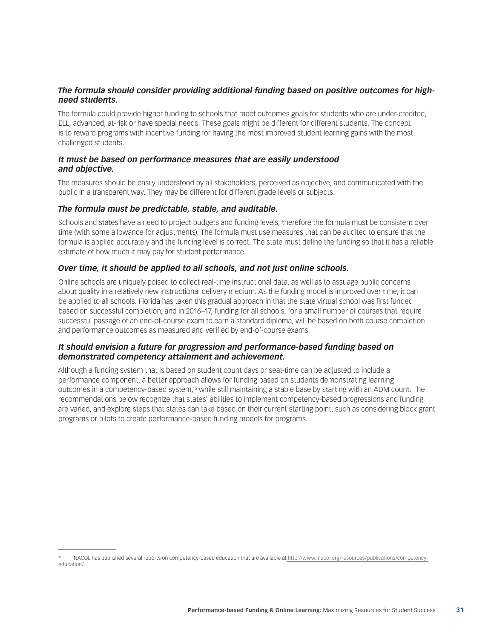#### *The formula should consider providing additional funding based on positive outcomes for highneed students.*

The formula could provide higher funding to schools that meet outcomes goals for students who are under-credited, ELL, advanced, at-risk or have special needs. These goals might be different for different students. The concept is to reward programs with incentive funding for having the most improved student learning gains with the most challenged students.

#### *It must be based on performance measures that are easily understood and objective.*

The measures should be easily understood by all stakeholders, perceived as objective, and communicated with the public in a transparent way. They may be different for different grade levels or subjects.

#### *The formula must be predictable, stable, and auditable.*

Schools and states have a need to project budgets and funding levels, therefore the formula must be consistent over time (with some allowance for adjustments). The formula must use measures that can be audited to ensure that the formula is applied accurately and the funding level is correct. The state must define the funding so that it has a reliable estimate of how much it may pay for student performance.

#### *Over time, it should be applied to all schools, and not just online schools.*

Online schools are uniquely poised to collect real-time instructional data, as well as to assuage public concerns about quality in a relatively new instructional delivery medium. As the funding model is improved over time, it can be applied to all schools. Florida has taken this gradual approach in that the state virtual school was first funded based on successful completion, and in 2016–17, funding for all schools, for a small number of courses that require successful passage of an end-of-course exam to earn a standard diploma, will be based on both course completion and performance outcomes as measured and verified by end-of-course exams.

#### *It should envision a future for progression and performance-based funding based on demonstrated competency attainment and achievement.*

Although a funding system that is based on student count days or seat-time can be adjusted to include a performance component, a better approach allows for funding based on students demonstrating learning outcomes in a competency-based system,15 while still maintaining a stable base by starting with an ADM count. The recommendations below recognize that states' abilities to implement competency-based progressions and funding are varied, and explore steps that states can take based on their current starting point, such as considering block grant programs or pilots to create performance-based funding models for programs.

<sup>15</sup> iNACOL has published several reports on competency-based education that are available a[t http://www.inacol.org/resources/publications/competency](%20http://www.inacol.org/resources/publications/competency-education/)[education/](%20http://www.inacol.org/resources/publications/competency-education/)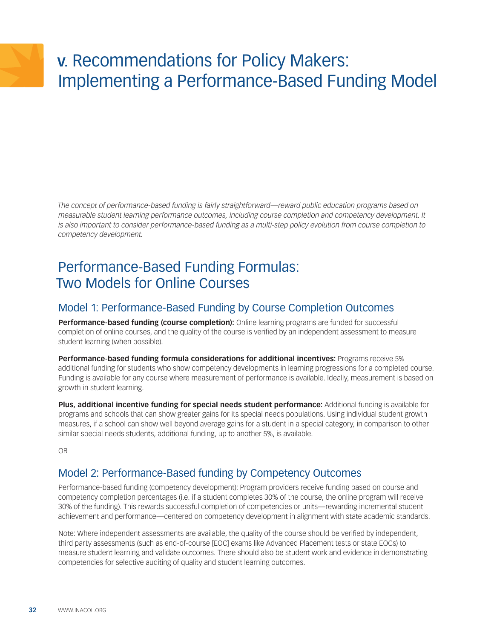# <span id="page-31-0"></span>**V.** Recommendations for Policy Makers: Implementing a Performance-Based Funding Model

*The concept of performance-based funding is fairly straightforward—reward public education programs based on measurable student learning performance outcomes, including course completion and competency development. It is also important to consider performance-based funding as a multi-step policy evolution from course completion to competency development.*

# Performance-Based Funding Formulas: Two Models for Online Courses

### Model 1: Performance-Based Funding by Course Completion Outcomes

**Performance-based funding (course completion):** Online learning programs are funded for successful completion of online courses, and the quality of the course is verified by an independent assessment to measure student learning (when possible).

**Performance-based funding formula considerations for additional incentives:** Programs receive 5% additional funding for students who show competency developments in learning progressions for a completed course. Funding is available for any course where measurement of performance is available. Ideally, measurement is based on growth in student learning.

**Plus, additional incentive funding for special needs student performance:** Additional funding is available for programs and schools that can show greater gains for its special needs populations. Using individual student growth measures, if a school can show well beyond average gains for a student in a special category, in comparison to other similar special needs students, additional funding, up to another 5%, is available.

OR

### Model 2: Performance-Based funding by Competency Outcomes

Performance-based funding (competency development): Program providers receive funding based on course and competency completion percentages (i.e. if a student completes 30% of the course, the online program will receive 30% of the funding). This rewards successful completion of competencies or units—rewarding incremental student achievement and performance—centered on competency development in alignment with state academic standards.

Note: Where independent assessments are available, the quality of the course should be verified by independent, third party assessments (such as end-of-course [EOC] exams like Advanced Placement tests or state EOCs) to measure student learning and validate outcomes. There should also be student work and evidence in demonstrating competencies for selective auditing of quality and student learning outcomes.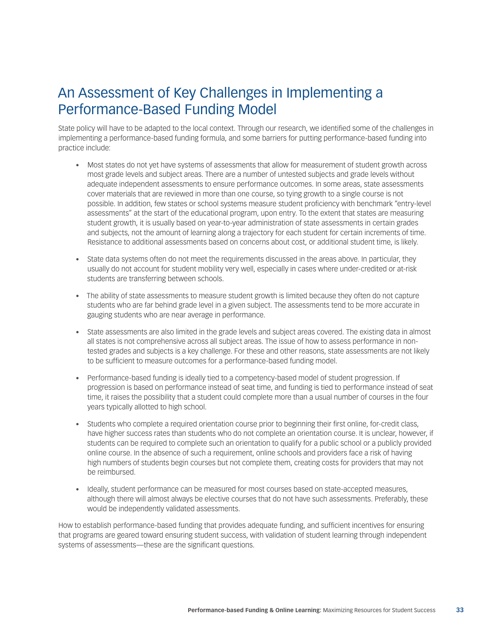# An Assessment of Key Challenges in Implementing a Performance-Based Funding Model

State policy will have to be adapted to the local context. Through our research, we identified some of the challenges in implementing a performance-based funding formula, and some barriers for putting performance-based funding into practice include:

- Most states do not yet have systems of assessments that allow for measurement of student growth across most grade levels and subject areas. There are a number of untested subjects and grade levels without adequate independent assessments to ensure performance outcomes. In some areas, state assessments cover materials that are reviewed in more than one course, so tying growth to a single course is not possible. In addition, few states or school systems measure student proficiency with benchmark "entry-level assessments" at the start of the educational program, upon entry. To the extent that states are measuring student growth, it is usually based on year-to-year administration of state assessments in certain grades and subjects, not the amount of learning along a trajectory for each student for certain increments of time. Resistance to additional assessments based on concerns about cost, or additional student time, is likely.
- State data systems often do not meet the requirements discussed in the areas above. In particular, they usually do not account for student mobility very well, especially in cases where under-credited or at-risk students are transferring between schools.
- The ability of state assessments to measure student growth is limited because they often do not capture students who are far behind grade level in a given subject. The assessments tend to be more accurate in gauging students who are near average in performance.
- • State assessments are also limited in the grade levels and subject areas covered. The existing data in almost all states is not comprehensive across all subject areas. The issue of how to assess performance in nontested grades and subjects is a key challenge. For these and other reasons, state assessments are not likely to be sufficient to measure outcomes for a performance-based funding model.
- • Performance-based funding is ideally tied to a competency-based model of student progression. If progression is based on performance instead of seat time, and funding is tied to performance instead of seat time, it raises the possibility that a student could complete more than a usual number of courses in the four years typically allotted to high school.
- Students who complete a required orientation course prior to beginning their first online, for-credit class, have higher success rates than students who do not complete an orientation course. It is unclear, however, if students can be required to complete such an orientation to qualify for a public school or a publicly provided online course. In the absence of such a requirement, online schools and providers face a risk of having high numbers of students begin courses but not complete them, creating costs for providers that may not be reimbursed.
- • Ideally, student performance can be measured for most courses based on state-accepted measures, although there will almost always be elective courses that do not have such assessments. Preferably, these would be independently validated assessments.

How to establish performance-based funding that provides adequate funding, and sufficient incentives for ensuring that programs are geared toward ensuring student success, with validation of student learning through independent systems of assessments—these are the significant questions.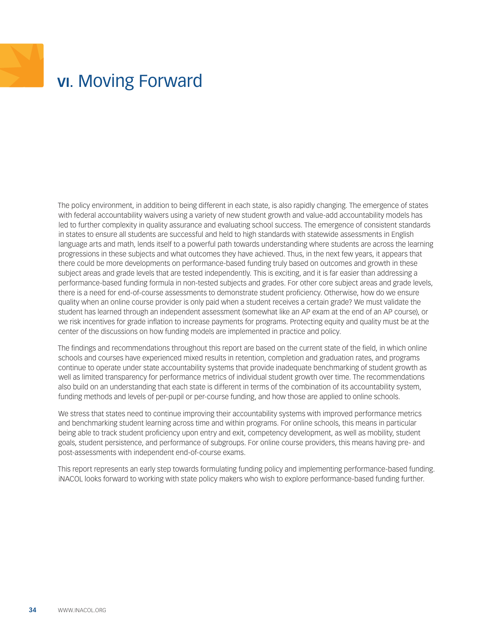# <span id="page-33-0"></span>**VI.** Moving Forward

The policy environment, in addition to being different in each state, is also rapidly changing. The emergence of states with federal accountability waivers using a variety of new student growth and value-add accountability models has led to further complexity in quality assurance and evaluating school success. The emergence of consistent standards in states to ensure all students are successful and held to high standards with statewide assessments in English language arts and math, lends itself to a powerful path towards understanding where students are across the learning progressions in these subjects and what outcomes they have achieved. Thus, in the next few years, it appears that there could be more developments on performance-based funding truly based on outcomes and growth in these subject areas and grade levels that are tested independently. This is exciting, and it is far easier than addressing a performance-based funding formula in non-tested subjects and grades. For other core subject areas and grade levels, there is a need for end-of-course assessments to demonstrate student proficiency. Otherwise, how do we ensure quality when an online course provider is only paid when a student receives a certain grade? We must validate the student has learned through an independent assessment (somewhat like an AP exam at the end of an AP course), or we risk incentives for grade inflation to increase payments for programs. Protecting equity and quality must be at the center of the discussions on how funding models are implemented in practice and policy.

The findings and recommendations throughout this report are based on the current state of the field, in which online schools and courses have experienced mixed results in retention, completion and graduation rates, and programs continue to operate under state accountability systems that provide inadequate benchmarking of student growth as well as limited transparency for performance metrics of individual student growth over time. The recommendations also build on an understanding that each state is different in terms of the combination of its accountability system, funding methods and levels of per-pupil or per-course funding, and how those are applied to online schools.

We stress that states need to continue improving their accountability systems with improved performance metrics and benchmarking student learning across time and within programs. For online schools, this means in particular being able to track student proficiency upon entry and exit, competency development, as well as mobility, student goals, student persistence, and performance of subgroups. For online course providers, this means having pre- and post-assessments with independent end-of-course exams.

This report represents an early step towards formulating funding policy and implementing performance-based funding. iNACOL looks forward to working with state policy makers who wish to explore performance-based funding further.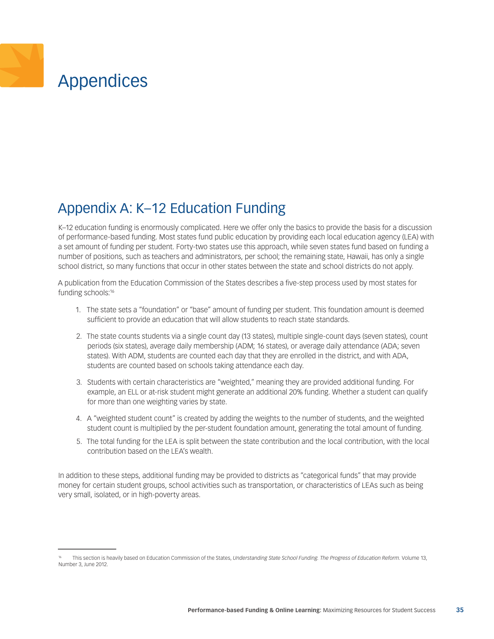# <span id="page-34-0"></span>Appendices

## Appendix A: K–12 Education Funding

K–12 education funding is enormously complicated. Here we offer only the basics to provide the basis for a discussion of performance-based funding. Most states fund public education by providing each local education agency (LEA) with a set amount of funding per student. Forty-two states use this approach, while seven states fund based on funding a number of positions, such as teachers and administrators, per school; the remaining state, Hawaii, has only a single school district, so many functions that occur in other states between the state and school districts do not apply.

A publication from the Education Commission of the States describes a five-step process used by most states for funding schools:16

- 1. The state sets a "foundation" or "base" amount of funding per student. This foundation amount is deemed sufficient to provide an education that will allow students to reach state standards.
- 2. The state counts students via a single count day (13 states), multiple single-count days (seven states), count periods (six states), average daily membership (ADM; 16 states), or average daily attendance (ADA; seven states). With ADM, students are counted each day that they are enrolled in the district, and with ADA, students are counted based on schools taking attendance each day.
- 3. Students with certain characteristics are "weighted," meaning they are provided additional funding. For example, an ELL or at-risk student might generate an additional 20% funding. Whether a student can qualify for more than one weighting varies by state.
- 4. A "weighted student count" is created by adding the weights to the number of students, and the weighted student count is multiplied by the per-student foundation amount, generating the total amount of funding.
- 5. The total funding for the LEA is split between the state contribution and the local contribution, with the local contribution based on the LEA's wealth.

In addition to these steps, additional funding may be provided to districts as "categorical funds" that may provide money for certain student groups, school activities such as transportation, or characteristics of LEAs such as being very small, isolated, or in high-poverty areas.

This section is heavily based on Education Commission of the States, *Understanding State School Funding. The Progress of Education Reform.* Volume 13, Number 3, June 2012.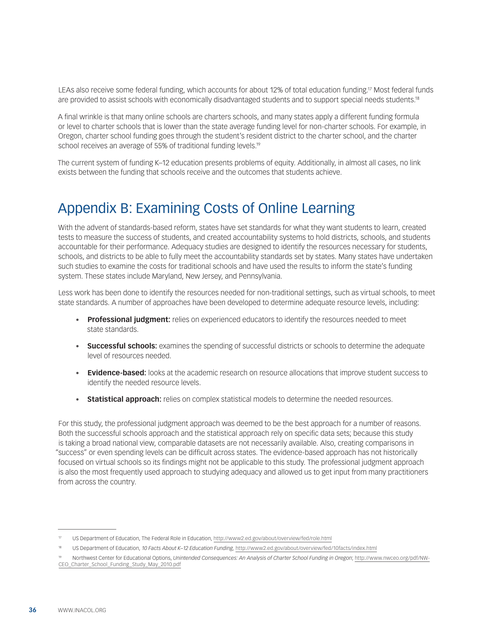<span id="page-35-0"></span>LEAs also receive some federal funding, which accounts for about 12% of total education funding.<sup>17</sup> Most federal funds are provided to assist schools with economically disadvantaged students and to support special needs students.18

A final wrinkle is that many online schools are charters schools, and many states apply a different funding formula or level to charter schools that is lower than the state average funding level for non-charter schools. For example, in Oregon, charter school funding goes through the student's resident district to the charter school, and the charter school receives an average of 55% of traditional funding levels.<sup>19</sup>

The current system of funding K–12 education presents problems of equity. Additionally, in almost all cases, no link exists between the funding that schools receive and the outcomes that students achieve.

### Appendix B: Examining Costs of Online Learning

With the advent of standards-based reform, states have set standards for what they want students to learn, created tests to measure the success of students, and created accountability systems to hold districts, schools, and students accountable for their performance. Adequacy studies are designed to identify the resources necessary for students, schools, and districts to be able to fully meet the accountability standards set by states. Many states have undertaken such studies to examine the costs for traditional schools and have used the results to inform the state's funding system. These states include Maryland, New Jersey, and Pennsylvania.

Less work has been done to identify the resources needed for non-traditional settings, such as virtual schools, to meet state standards. A number of approaches have been developed to determine adequate resource levels, including:

- • **Professional judgment:** relies on experienced educators to identify the resources needed to meet state standards.
- **Successful schools:** examines the spending of successful districts or schools to determine the adequate level of resources needed.
- • **Evidence-based:** looks at the academic research on resource allocations that improve student success to identify the needed resource levels.
- **Statistical approach:** relies on complex statistical models to determine the needed resources.

For this study, the professional judgment approach was deemed to be the best approach for a number of reasons. Both the successful schools approach and the statistical approach rely on specific data sets; because this study is taking a broad national view, comparable datasets are not necessarily available. Also, creating comparisons in "success" or even spending levels can be difficult across states. The evidence-based approach has not historically focused on virtual schools so its findings might not be applicable to this study. The professional judgment approach is also the most frequently used approach to studying adequacy and allowed us to get input from many practitioners from across the country.

US Department of Education, The Federal Role in Education, <http://www2.ed.gov/about/overview/fed/role.html>

<sup>18</sup> US Department of Education, *10 Facts About K–12 Education Funding,* <http://www2.ed.gov/about/overview/fed/10facts/index.html>

<sup>19</sup> Northwest Center for Educational Options, *Unintended Consequences: An Analysis of Charter School Funding in Oregon*; [http://www.nwceo.org/pdf/NW-](http://www.nwceo.org/pdf/NWCEO_Charter_School_Funding_Study_May_2010.pdf)[CEO\\_Charter\\_School\\_Funding\\_Study\\_May\\_2010.pdf](http://www.nwceo.org/pdf/NWCEO_Charter_School_Funding_Study_May_2010.pdf)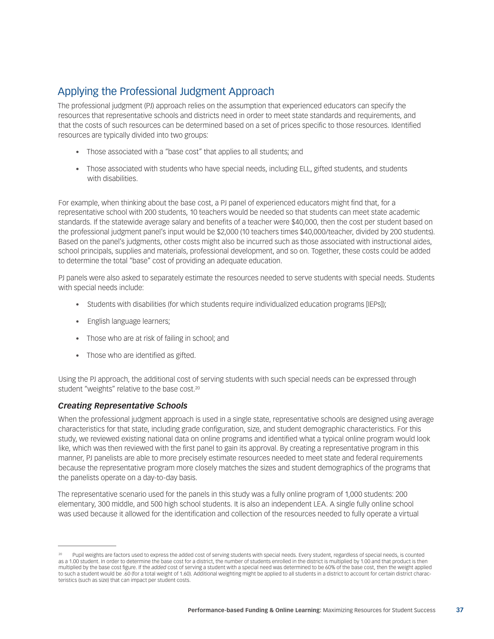### Applying the Professional Judgment Approach

The professional judgment (PJ) approach relies on the assumption that experienced educators can specify the resources that representative schools and districts need in order to meet state standards and requirements, and that the costs of such resources can be determined based on a set of prices specific to those resources. Identified resources are typically divided into two groups:

- Those associated with a "base cost" that applies to all students; and
- • Those associated with students who have special needs, including ELL, gifted students, and students with disabilities.

For example, when thinking about the base cost, a PJ panel of experienced educators might find that, for a representative school with 200 students, 10 teachers would be needed so that students can meet state academic standards. If the statewide average salary and benefits of a teacher were \$40,000, then the cost per student based on the professional judgment panel's input would be \$2,000 (10 teachers times \$40,000/teacher, divided by 200 students). Based on the panel's judgments, other costs might also be incurred such as those associated with instructional aides, school principals, supplies and materials, professional development, and so on. Together, these costs could be added to determine the total "base" cost of providing an adequate education.

PJ panels were also asked to separately estimate the resources needed to serve students with special needs. Students with special needs include:

- Students with disabilities (for which students require individualized education programs [IEPs]);
- English language learners;
- Those who are at risk of failing in school; and
- Those who are identified as gifted.

Using the PJ approach, the additional cost of serving students with such special needs can be expressed through student "weights" relative to the base cost.<sup>20</sup>

#### *Creating Representative Schools*

When the professional judgment approach is used in a single state, representative schools are designed using average characteristics for that state, including grade configuration, size, and student demographic characteristics. For this study, we reviewed existing national data on online programs and identified what a typical online program would look like, which was then reviewed with the first panel to gain its approval. By creating a representative program in this manner, PJ panelists are able to more precisely estimate resources needed to meet state and federal requirements because the representative program more closely matches the sizes and student demographics of the programs that the panelists operate on a day-to-day basis.

The representative scenario used for the panels in this study was a fully online program of 1,000 students: 200 elementary, 300 middle, and 500 high school students. It is also an independent LEA. A single fully online school was used because it allowed for the identification and collection of the resources needed to fully operate a virtual

Pupil weights are factors used to express the added cost of serving students with special needs. Every student, regardless of special needs, is counted as a 1.00 student. In order to determine the base cost for a district, the number of students enrolled in the district is multiplied by 1.00 and that product is then multiplied by the base cost figure. If the *added* cost of serving a student with a special need was determined to be 60% of the base cost, then the weight applied to such a student would be .60 (for a total weight of 1.60). Additional weighting might be applied to all students in a district to account for certain district characteristics (such as size) that can impact per student costs.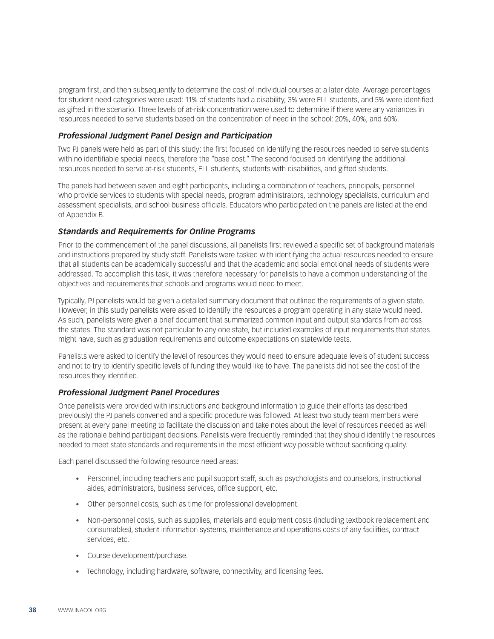program first, and then subsequently to determine the cost of individual courses at a later date. Average percentages for student need categories were used: 11% of students had a disability, 3% were ELL students, and 5% were identified as gifted in the scenario. Three levels of at-risk concentration were used to determine if there were any variances in resources needed to serve students based on the concentration of need in the school: 20%, 40%, and 60%.

#### *Professional Judgment Panel Design and Participation*

Two PJ panels were held as part of this study: the first focused on identifying the resources needed to serve students with no identifiable special needs, therefore the "base cost." The second focused on identifying the additional resources needed to serve at-risk students, ELL students, students with disabilities, and gifted students.

The panels had between seven and eight participants, including a combination of teachers, principals, personnel who provide services to students with special needs, program administrators, technology specialists, curriculum and assessment specialists, and school business officials. Educators who participated on the panels are listed at the end of Appendix B.

#### *Standards and Requirements for Online Programs*

Prior to the commencement of the panel discussions, all panelists first reviewed a specific set of background materials and instructions prepared by study staff. Panelists were tasked with identifying the actual resources needed to ensure that all students can be academically successful and that the academic and social emotional needs of students were addressed. To accomplish this task, it was therefore necessary for panelists to have a common understanding of the objectives and requirements that schools and programs would need to meet.

Typically, PJ panelists would be given a detailed summary document that outlined the requirements of a given state. However, in this study panelists were asked to identify the resources a program operating in any state would need. As such, panelists were given a brief document that summarized common input and output standards from across the states. The standard was not particular to any one state, but included examples of input requirements that states might have, such as graduation requirements and outcome expectations on statewide tests.

Panelists were asked to identify the level of resources they would need to ensure adequate levels of student success and not to try to identify specific levels of funding they would like to have. The panelists did not see the cost of the resources they identified.

#### *Professional Judgment Panel Procedures*

Once panelists were provided with instructions and background information to guide their efforts (as described previously) the PJ panels convened and a specific procedure was followed. At least two study team members were present at every panel meeting to facilitate the discussion and take notes about the level of resources needed as well as the rationale behind participant decisions. Panelists were frequently reminded that they should identify the resources needed to meet state standards and requirements in the most efficient way possible without sacrificing quality.

Each panel discussed the following resource need areas:

- • Personnel, including teachers and pupil support staff, such as psychologists and counselors, instructional aides, administrators, business services, office support, etc.
- Other personnel costs, such as time for professional development.
- • Non-personnel costs, such as supplies, materials and equipment costs (including textbook replacement and consumables), student information systems, maintenance and operations costs of any facilities, contract services, etc.
- Course development/purchase.
- Technology, including hardware, software, connectivity, and licensing fees.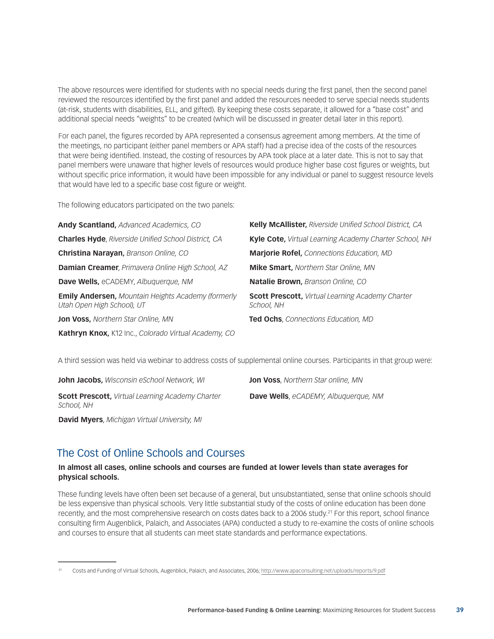The above resources were identified for students with no special needs during the first panel, then the second panel reviewed the resources identified by the first panel and added the resources needed to serve special needs students (at-risk, students with disabilities, ELL, and gifted). By keeping these costs separate, it allowed for a "base cost" and additional special needs "weights" to be created (which will be discussed in greater detail later in this report).

For each panel, the figures recorded by APA represented a consensus agreement among members. At the time of the meetings, no participant (either panel members or APA staff) had a precise idea of the costs of the resources that were being identified. Instead, the costing of resources by APA took place at a later date. This is not to say that panel members were unaware that higher levels of resources would produce higher base cost figures or weights, but without specific price information, it would have been impossible for any individual or panel to suggest resource levels that would have led to a specific base cost figure or weight.

The following educators participated on the two panels:

| Andy Scantland, Advanced Academics, CO                                                  | Kelly McAllister, Riverside Unified School District, CA               |
|-----------------------------------------------------------------------------------------|-----------------------------------------------------------------------|
| <b>Charles Hyde, Riverside Unified School District, CA</b>                              | Kyle Cote, Virtual Learning Academy Charter School, NH                |
| Christina Narayan, Branson Online, CO                                                   | Marjorie Rofel, Connections Education, MD                             |
| Damian Creamer, Primavera Online High School, AZ                                        | <b>Mike Smart, Northern Star Online, MN</b>                           |
| <b>Dave Wells, eCADEMY, Albuguerque, NM</b>                                             | Natalie Brown, Branson Online, CO                                     |
| <b>Emily Andersen, Mountain Heights Academy (formerly</b><br>Utah Open High School), UT | <b>Scott Prescott, Virtual Learning Academy Charter</b><br>School, NH |
| <b>Jon Voss, Northern Star Online, MN</b>                                               | <b>Ted Ochs</b> , Connections Education, MD                           |
| Kathryn Knox, K12 Inc., Colorado Virtual Academy, CO                                    |                                                                       |

A third session was held via webinar to address costs of supplemental online courses. Participants in that group were:

**John Jacobs,** *Wisconsin eSchool Network, WI* **Scott Prescott,** *Virtual Learning Academy Charter School, NH*

**Jon Voss**, *Northern Star online, MN* **Dave Wells**, *eCADEMY, Albuquerque, NM*

**David Myers**, *Michigan Virtual University, MI*

### The Cost of Online Schools and Courses

#### **In almost all cases, online schools and courses are funded at lower levels than state averages for physical schools.**

These funding levels have often been set because of a general, but unsubstantiated, sense that online schools should be less expensive than physical schools. Very little substantial study of the costs of online education has been done recently, and the most comprehensive research on costs dates back to a 2006 study.21 For this report, school finance consulting firm Augenblick, Palaich, and Associates (APA) conducted a study to re-examine the costs of online schools and courses to ensure that all students can meet state standards and performance expectations.

<sup>21</sup> Costs and Funding of Virtual Schools, Augenblick, Palaich, and Associates, 2006; <http://www.apaconsulting.net/uploads/reports/9.pdf>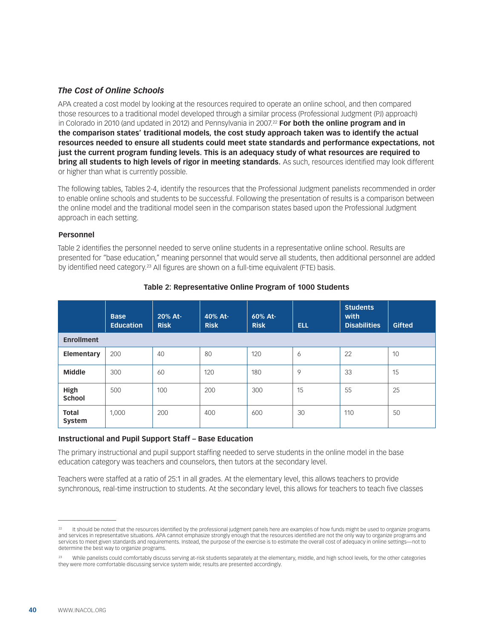#### *The Cost of Online Schools*

APA created a cost model by looking at the resources required to operate an online school, and then compared those resources to a traditional model developed through a similar process (Professional Judgment (PJ) approach) in Colorado in 2010 (and updated in 2012) and Pennsylvania in 2007.<sup>22</sup> **For both the online program and in the comparison states' traditional models, the cost study approach taken was to identify the actual resources needed to ensure all students could meet state standards and performance expectations, not just the current program funding levels. This is an adequacy study of what resources are required to bring all students to high levels of rigor in meeting standards.** As such, resources identified may look different or higher than what is currently possible.

The following tables, Tables 2-4, identify the resources that the Professional Judgment panelists recommended in order to enable online schools and students to be successful. Following the presentation of results is a comparison between the online model and the traditional model seen in the comparison states based upon the Professional Judgment approach in each setting.

#### **Personnel**

Table 2 identifies the personnel needed to serve online students in a representative online school. Results are presented for "base education," meaning personnel that would serve all students, then additional personnel are added by identified need category.<sup>23</sup> All figures are shown on a full-time equivalent (FTE) basis.

|                        | <b>Base</b><br><b>Education</b> | 20% At-<br><b>Risk</b> | 40% At-<br><b>Risk</b> | 60% At-<br><b>Risk</b> | <b>ELL</b> | <b>Students</b><br>with<br><b>Disabilities</b> | <b>Gifted</b> |
|------------------------|---------------------------------|------------------------|------------------------|------------------------|------------|------------------------------------------------|---------------|
| <b>Enrollment</b>      |                                 |                        |                        |                        |            |                                                |               |
| Elementary             | 200                             | 40                     | 80                     | 120                    | 6          | 22                                             | 10            |
| <b>Middle</b>          | 300                             | 60                     | 120                    | 180                    | 9          | 33                                             | 15            |
| High<br><b>School</b>  | 500                             | 100                    | 200                    | 300                    | 15         | 55                                             | 25            |
| <b>Total</b><br>System | 1,000                           | 200                    | 400                    | 600                    | 30         | 110                                            | 50            |

#### **Table 2: Representative Online Program of 1000 Students**

#### **Instructional and Pupil Support Staff – Base Education**

The primary instructional and pupil support staffing needed to serve students in the online model in the base education category was teachers and counselors, then tutors at the secondary level.

Teachers were staffed at a ratio of 25:1 in all grades. At the elementary level, this allows teachers to provide synchronous, real-time instruction to students. At the secondary level, this allows for teachers to teach five classes

<sup>22</sup> It should be noted that the resources identified by the professional judgment panels here are examples of how funds might be used to organize programs and services in representative situations. APA cannot emphasize strongly enough that the resources identified are not the only way to organize programs and services to meet given standards and requirements. Instead, the purpose of the exercise is to estimate the overall cost of adequacy in online settings—not to determine the best way to organize programs.

<sup>&</sup>lt;sup>23</sup> While panelists could comfortably discuss serving at-risk students separately at the elementary, middle, and high school levels, for the other categories they were more comfortable discussing service system wide; results are presented accordingly.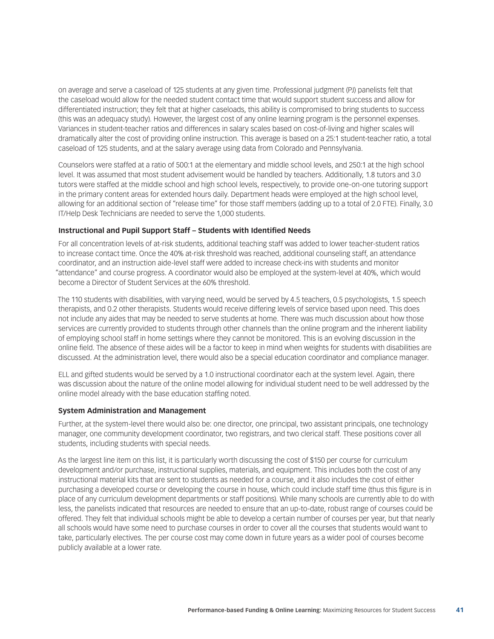on average and serve a caseload of 125 students at any given time. Professional judgment (PJ) panelists felt that the caseload would allow for the needed student contact time that would support student success and allow for differentiated instruction; they felt that at higher caseloads, this ability is compromised to bring students to success (this was an adequacy study). However, the largest cost of any online learning program is the personnel expenses. Variances in student-teacher ratios and differences in salary scales based on cost-of-living and higher scales will dramatically alter the cost of providing online instruction. This average is based on a 25:1 student-teacher ratio, a total caseload of 125 students, and at the salary average using data from Colorado and Pennsylvania.

Counselors were staffed at a ratio of 500:1 at the elementary and middle school levels, and 250:1 at the high school level. It was assumed that most student advisement would be handled by teachers. Additionally, 1.8 tutors and 3.0 tutors were staffed at the middle school and high school levels, respectively, to provide one-on-one tutoring support in the primary content areas for extended hours daily. Department heads were employed at the high school level, allowing for an additional section of "release time" for those staff members (adding up to a total of 2.0 FTE). Finally, 3.0 IT/Help Desk Technicians are needed to serve the 1,000 students.

#### **Instructional and Pupil Support Staff – Students with Identified Needs**

For all concentration levels of at-risk students, additional teaching staff was added to lower teacher-student ratios to increase contact time. Once the 40% at-risk threshold was reached, additional counseling staff, an attendance coordinator, and an instruction aide-level staff were added to increase check-ins with students and monitor "attendance" and course progress. A coordinator would also be employed at the system-level at 40%, which would become a Director of Student Services at the 60% threshold.

The 110 students with disabilities, with varying need, would be served by 4.5 teachers, 0.5 psychologists, 1.5 speech therapists, and 0.2 other therapists. Students would receive differing levels of service based upon need. This does not include any aides that may be needed to serve students at home. There was much discussion about how those services are currently provided to students through other channels than the online program and the inherent liability of employing school staff in home settings where they cannot be monitored. This is an evolving discussion in the online field. The absence of these aides will be a factor to keep in mind when weights for students with disabilities are discussed. At the administration level, there would also be a special education coordinator and compliance manager.

ELL and gifted students would be served by a 1.0 instructional coordinator each at the system level. Again, there was discussion about the nature of the online model allowing for individual student need to be well addressed by the online model already with the base education staffing noted.

#### **System Administration and Management**

Further, at the system-level there would also be: one director, one principal, two assistant principals, one technology manager, one community development coordinator, two registrars, and two clerical staff. These positions cover all students, including students with special needs.

As the largest line item on this list, it is particularly worth discussing the cost of \$150 per course for curriculum development and/or purchase, instructional supplies, materials, and equipment. This includes both the cost of any instructional material kits that are sent to students as needed for a course, and it also includes the cost of either purchasing a developed course or developing the course in house, which could include staff time (thus this figure is in place of any curriculum development departments or staff positions). While many schools are currently able to do with less, the panelists indicated that resources are needed to ensure that an up-to-date, robust range of courses could be offered. They felt that individual schools might be able to develop a certain number of courses per year, but that nearly all schools would have some need to purchase courses in order to cover all the courses that students would want to take, particularly electives. The per course cost may come down in future years as a wider pool of courses become publicly available at a lower rate.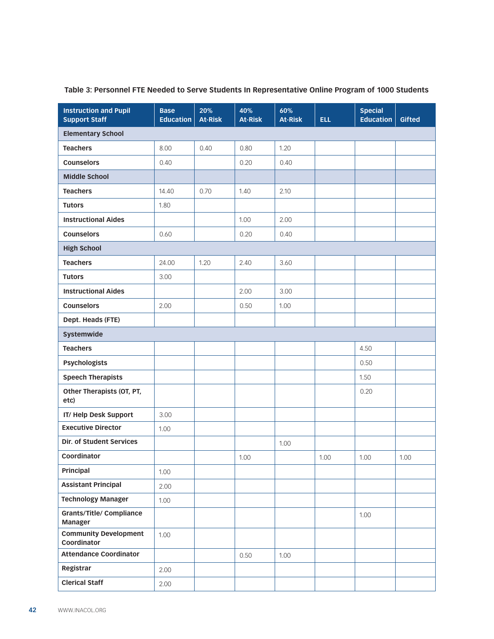| <b>Instruction and Pupil</b><br><b>Support Staff</b> | <b>Base</b><br><b>Education</b> | 20%<br><b>At-Risk</b> | 40%<br><b>At-Risk</b> | 60%<br><b>At-Risk</b> | <b>ELL</b> | <b>Special</b><br><b>Education</b> | Gifted |
|------------------------------------------------------|---------------------------------|-----------------------|-----------------------|-----------------------|------------|------------------------------------|--------|
| <b>Elementary School</b>                             |                                 |                       |                       |                       |            |                                    |        |
| <b>Teachers</b>                                      | 8.00                            | 0.40                  | 0.80                  | 1.20                  |            |                                    |        |
| <b>Counselors</b>                                    | 0.40                            |                       | 0.20                  | 0.40                  |            |                                    |        |
| <b>Middle School</b>                                 |                                 |                       |                       |                       |            |                                    |        |
| <b>Teachers</b>                                      | 14.40                           | 0.70                  | 1.40                  | 2.10                  |            |                                    |        |
| <b>Tutors</b>                                        | 1.80                            |                       |                       |                       |            |                                    |        |
| <b>Instructional Aides</b>                           |                                 |                       | 1.00                  | 2.00                  |            |                                    |        |
| <b>Counselors</b>                                    | 0.60                            |                       | 0.20                  | 0.40                  |            |                                    |        |
| <b>High School</b>                                   |                                 |                       |                       |                       |            |                                    |        |
| <b>Teachers</b>                                      | 24.00                           | 1.20                  | 2.40                  | 3.60                  |            |                                    |        |
| <b>Tutors</b>                                        | 3.00                            |                       |                       |                       |            |                                    |        |
| <b>Instructional Aides</b>                           |                                 |                       | 2.00                  | 3.00                  |            |                                    |        |
| <b>Counselors</b>                                    | 2.00                            |                       | 0.50                  | 1.00                  |            |                                    |        |
| Dept. Heads (FTE)                                    |                                 |                       |                       |                       |            |                                    |        |
| Systemwide                                           |                                 |                       |                       |                       |            |                                    |        |
| <b>Teachers</b>                                      |                                 |                       |                       |                       |            | 4.50                               |        |
| <b>Psychologists</b>                                 |                                 |                       |                       |                       |            | 0.50                               |        |
| <b>Speech Therapists</b>                             |                                 |                       |                       |                       |            | 1.50                               |        |
| Other Therapists (OT, PT,<br>etc)                    |                                 |                       |                       |                       |            | 0.20                               |        |
| IT/Help Desk Support                                 | 3.00                            |                       |                       |                       |            |                                    |        |
| <b>Executive Director</b>                            | 1.00                            |                       |                       |                       |            |                                    |        |
| Dir. of Student Services                             |                                 |                       |                       | 1.00                  |            |                                    |        |
| Coordinator                                          |                                 |                       | 1.00                  |                       | 1.00       | 1.00                               | 1.00   |
| Principal                                            | 1.00                            |                       |                       |                       |            |                                    |        |
| <b>Assistant Principal</b>                           | 2.00                            |                       |                       |                       |            |                                    |        |
| <b>Technology Manager</b>                            | 1.00                            |                       |                       |                       |            |                                    |        |
| <b>Grants/Title/ Compliance</b><br>Manager           |                                 |                       |                       |                       |            | 1.00                               |        |
| <b>Community Development</b><br>Coordinator          | 1.00                            |                       |                       |                       |            |                                    |        |
| <b>Attendance Coordinator</b>                        |                                 |                       | 0.50                  | 1.00                  |            |                                    |        |
| Registrar                                            | 2.00                            |                       |                       |                       |            |                                    |        |
| <b>Clerical Staff</b>                                | 2.00                            |                       |                       |                       |            |                                    |        |

#### **Table 3: Personnel FTE Needed to Serve Students In Representative Online Program of 1000 Students**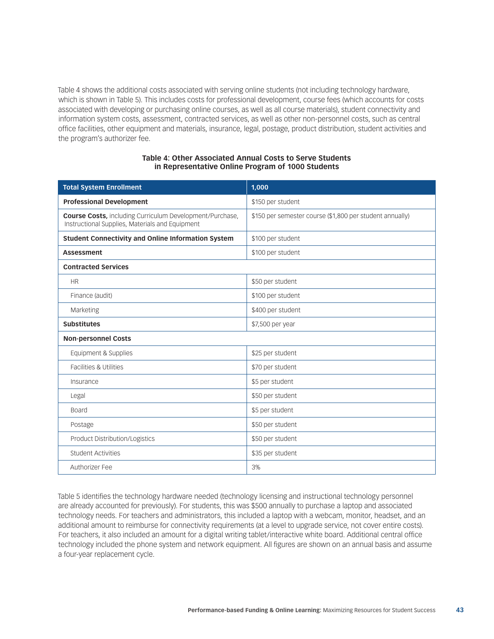Table 4 shows the additional costs associated with serving online students (not including technology hardware, which is shown in Table 5). This includes costs for professional development, course fees (which accounts for costs associated with developing or purchasing online courses, as well as all course materials), student connectivity and information system costs, assessment, contracted services, as well as other non-personnel costs, such as central office facilities, other equipment and materials, insurance, legal, postage, product distribution, student activities and the program's authorizer fee.

#### **Table 4: Other Associated Annual Costs to Serve Students in Representative Online Program of 1000 Students**

| <b>Total System Enrollment</b>                                                                                     | 1,000                                                    |
|--------------------------------------------------------------------------------------------------------------------|----------------------------------------------------------|
| <b>Professional Development</b>                                                                                    | \$150 per student                                        |
| <b>Course Costs, including Curriculum Development/Purchase,</b><br>Instructional Supplies, Materials and Equipment | \$150 per semester course (\$1,800 per student annually) |
| <b>Student Connectivity and Online Information System</b>                                                          | \$100 per student                                        |
| <b>Assessment</b>                                                                                                  | \$100 per student                                        |
| <b>Contracted Services</b>                                                                                         |                                                          |
| <b>HR</b>                                                                                                          | \$50 per student                                         |
| Finance (audit)                                                                                                    | \$100 per student                                        |
| Marketing                                                                                                          | \$400 per student                                        |
| <b>Substitutes</b>                                                                                                 | \$7,500 per year                                         |
| <b>Non-personnel Costs</b>                                                                                         |                                                          |
| Equipment & Supplies                                                                                               | \$25 per student                                         |
| Facilities & Utilities                                                                                             | \$70 per student                                         |
| Insurance                                                                                                          | \$5 per student                                          |
| Legal                                                                                                              | \$50 per student                                         |
| <b>Board</b>                                                                                                       | \$5 per student                                          |
| Postage                                                                                                            | \$50 per student                                         |
| Product Distribution/Logistics                                                                                     | \$50 per student                                         |
| <b>Student Activities</b>                                                                                          | \$35 per student                                         |
| Authorizer Fee                                                                                                     | 3%                                                       |

Table 5 identifies the technology hardware needed (technology licensing and instructional technology personnel are already accounted for previously). For students, this was \$500 annually to purchase a laptop and associated technology needs. For teachers and administrators, this included a laptop with a webcam, monitor, headset, and an additional amount to reimburse for connectivity requirements (at a level to upgrade service, not cover entire costs). For teachers, it also included an amount for a digital writing tablet/interactive white board. Additional central office technology included the phone system and network equipment. All figures are shown on an annual basis and assume a four-year replacement cycle.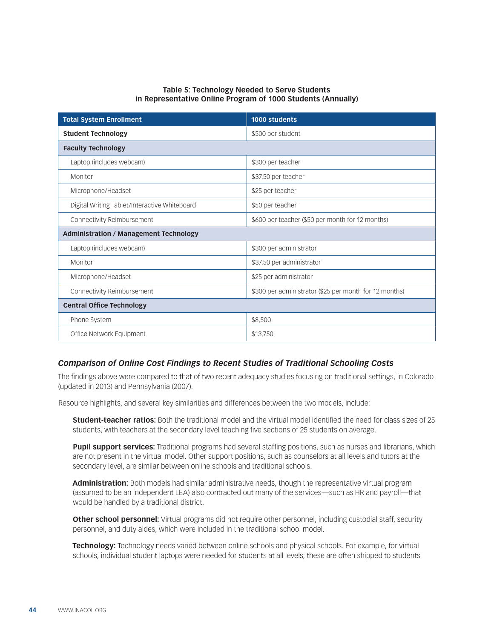#### **Table 5: Technology Needed to Serve Students in Representative Online Program of 1000 Students (Annually)**

| <b>Total System Enrollment</b>                | 1000 students                                          |
|-----------------------------------------------|--------------------------------------------------------|
| <b>Student Technology</b>                     | \$500 per student                                      |
| <b>Faculty Technology</b>                     |                                                        |
| Laptop (includes webcam)                      | \$300 per teacher                                      |
| Monitor                                       | \$37.50 per teacher                                    |
| Microphone/Headset                            | \$25 per teacher                                       |
| Digital Writing Tablet/Interactive Whiteboard | \$50 per teacher                                       |
| Connectivity Reimbursement                    | \$600 per teacher (\$50 per month for 12 months)       |
| <b>Administration / Management Technology</b> |                                                        |
| Laptop (includes webcam)                      | \$300 per administrator                                |
| Monitor                                       | \$37.50 per administrator                              |
| Microphone/Headset                            | \$25 per administrator                                 |
| Connectivity Reimbursement                    | \$300 per administrator (\$25 per month for 12 months) |
| <b>Central Office Technology</b>              |                                                        |
| Phone System                                  | \$8,500                                                |
| Office Network Equipment                      | \$13,750                                               |

#### *Comparison of Online Cost Findings to Recent Studies of Traditional Schooling Costs*

The findings above were compared to that of two recent adequacy studies focusing on traditional settings, in Colorado (updated in 2013) and Pennsylvania (2007).

Resource highlights, and several key similarities and differences between the two models, include:

**Student-teacher ratios:** Both the traditional model and the virtual model identified the need for class sizes of 25 students, with teachers at the secondary level teaching five sections of 25 students on average.

**Pupil support services:** Traditional programs had several staffing positions, such as nurses and librarians, which are not present in the virtual model. Other support positions, such as counselors at all levels and tutors at the secondary level, are similar between online schools and traditional schools.

**Administration:** Both models had similar administrative needs, though the representative virtual program (assumed to be an independent LEA) also contracted out many of the services—such as HR and payroll—that would be handled by a traditional district.

**Other school personnel:** Virtual programs did not require other personnel, including custodial staff, security personnel, and duty aides, which were included in the traditional school model.

**Technology:** Technology needs varied between online schools and physical schools. For example, for virtual schools, individual student laptops were needed for students at all levels; these are often shipped to students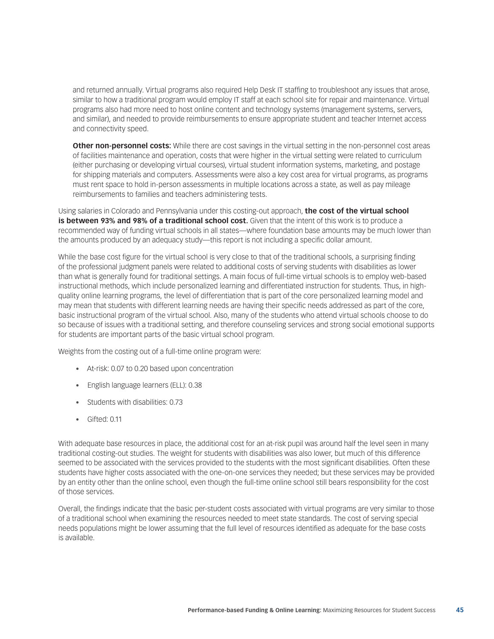and returned annually. Virtual programs also required Help Desk IT staffing to troubleshoot any issues that arose, similar to how a traditional program would employ IT staff at each school site for repair and maintenance. Virtual programs also had more need to host online content and technology systems (management systems, servers, and similar), and needed to provide reimbursements to ensure appropriate student and teacher Internet access and connectivity speed.

**Other non-personnel costs:** While there are cost savings in the virtual setting in the non-personnel cost areas of facilities maintenance and operation, costs that were higher in the virtual setting were related to curriculum (either purchasing or developing virtual courses), virtual student information systems, marketing, and postage for shipping materials and computers. Assessments were also a key cost area for virtual programs, as programs must rent space to hold in-person assessments in multiple locations across a state, as well as pay mileage reimbursements to families and teachers administering tests.

Using salaries in Colorado and Pennsylvania under this costing-out approach, **the cost of the virtual school is between 93% and 98% of a traditional school cost.** Given that the intent of this work is to produce a recommended way of funding virtual schools in all states—where foundation base amounts may be much lower than the amounts produced by an adequacy study—this report is not including a specific dollar amount.

While the base cost figure for the virtual school is very close to that of the traditional schools, a surprising finding of the professional judgment panels were related to additional costs of serving students with disabilities as lower than what is generally found for traditional settings. A main focus of full-time virtual schools is to employ web-based instructional methods, which include personalized learning and differentiated instruction for students. Thus, in highquality online learning programs, the level of differentiation that is part of the core personalized learning model and may mean that students with different learning needs are having their specific needs addressed as part of the core, basic instructional program of the virtual school. Also, many of the students who attend virtual schools choose to do so because of issues with a traditional setting, and therefore counseling services and strong social emotional supports for students are important parts of the basic virtual school program.

Weights from the costing out of a full-time online program were:

- • At-risk: 0.07 to 0.20 based upon concentration
- • English language learners (ELL): 0.38
- Students with disabilities: 0.73
- Gifted: 0.11

With adequate base resources in place, the additional cost for an at-risk pupil was around half the level seen in many traditional costing-out studies. The weight for students with disabilities was also lower, but much of this difference seemed to be associated with the services provided to the students with the most significant disabilities. Often these students have higher costs associated with the one-on-one services they needed; but these services may be provided by an entity other than the online school, even though the full-time online school still bears responsibility for the cost of those services.

Overall, the findings indicate that the basic per-student costs associated with virtual programs are very similar to those of a traditional school when examining the resources needed to meet state standards. The cost of serving special needs populations might be lower assuming that the full level of resources identified as adequate for the base costs is available.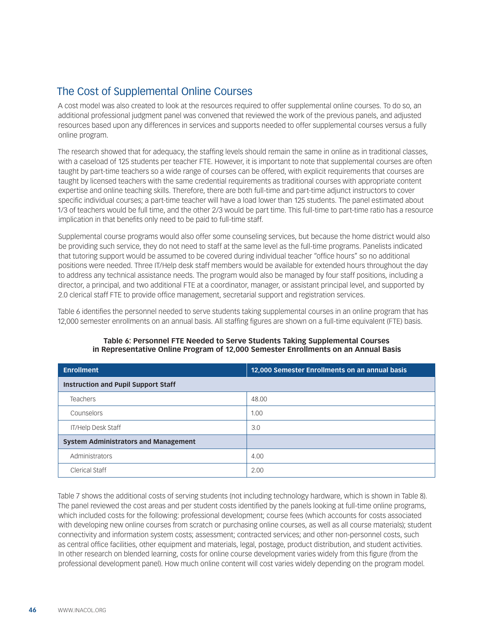### The Cost of Supplemental Online Courses

A cost model was also created to look at the resources required to offer supplemental online courses. To do so, an additional professional judgment panel was convened that reviewed the work of the previous panels, and adjusted resources based upon any differences in services and supports needed to offer supplemental courses versus a fully online program.

The research showed that for adequacy, the staffing levels should remain the same in online as in traditional classes, with a caseload of 125 students per teacher FTE. However, it is important to note that supplemental courses are often taught by part-time teachers so a wide range of courses can be offered, with explicit requirements that courses are taught by licensed teachers with the same credential requirements as traditional courses with appropriate content expertise and online teaching skills. Therefore, there are both full-time and part-time adjunct instructors to cover specific individual courses; a part-time teacher will have a load lower than 125 students. The panel estimated about 1/3 of teachers would be full time, and the other 2/3 would be part time. This full-time to part-time ratio has a resource implication in that benefits only need to be paid to full-time staff.

Supplemental course programs would also offer some counseling services, but because the home district would also be providing such service, they do not need to staff at the same level as the full-time programs. Panelists indicated that tutoring support would be assumed to be covered during individual teacher "office hours" so no additional positions were needed. Three IT/Help desk staff members would be available for extended hours throughout the day to address any technical assistance needs. The program would also be managed by four staff positions, including a director, a principal, and two additional FTE at a coordinator, manager, or assistant principal level, and supported by 2.0 clerical staff FTE to provide office management, secretarial support and registration services.

Table 6 identifies the personnel needed to serve students taking supplemental courses in an online program that has 12,000 semester enrollments on an annual basis. All staffing figures are shown on a full-time equivalent (FTE) basis.

| <b>Enrollment</b>                           | 12,000 Semester Enrollments on an annual basis |  |
|---------------------------------------------|------------------------------------------------|--|
| Instruction and Pupil Support Staff         |                                                |  |
| <b>Teachers</b>                             | 48.00                                          |  |
| Counselors                                  | 1.00                                           |  |
| IT/Help Desk Staff                          | 3.0                                            |  |
| <b>System Administrators and Management</b> |                                                |  |
| Administrators                              | 4.00                                           |  |
| <b>Clerical Staff</b>                       | 2.00                                           |  |

#### **Table 6: Personnel FTE Needed to Serve Students Taking Supplemental Courses in Representative Online Program of 12,000 Semester Enrollments on an Annual Basis**

Table 7 shows the additional costs of serving students (not including technology hardware, which is shown in Table 8). The panel reviewed the cost areas and per student costs identified by the panels looking at full-time online programs, which included costs for the following: professional development; course fees (which accounts for costs associated with developing new online courses from scratch or purchasing online courses, as well as all course materials); student connectivity and information system costs; assessment; contracted services; and other non-personnel costs, such as central office facilities, other equipment and materials, legal, postage, product distribution, and student activities. In other research on blended learning, costs for online course development varies widely from this figure (from the professional development panel). How much online content will cost varies widely depending on the program model.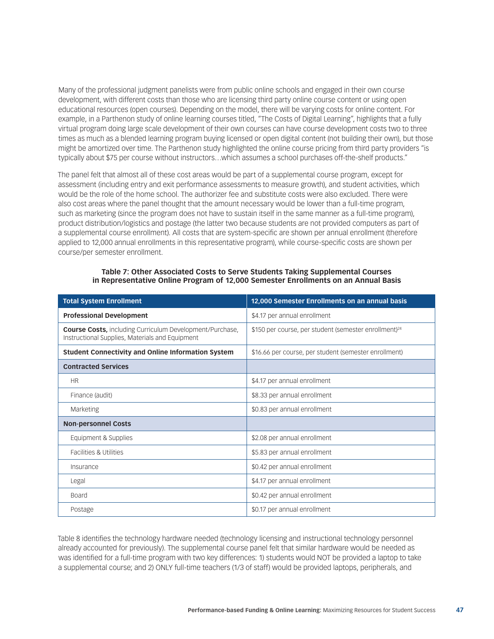Many of the professional judgment panelists were from public online schools and engaged in their own course development, with different costs than those who are licensing third party online course content or using open educational resources (open courses). Depending on the model, there will be varying costs for online content. For example, in a Parthenon study of online learning courses titled, "The Costs of Digital Learning", highlights that a fully virtual program doing large scale development of their own courses can have course development costs two to three times as much as a blended learning program buying licensed or open digital content (not building their own), but those might be amortized over time. The Parthenon study highlighted the online course pricing from third party providers "is typically about \$75 per course without instructors…which assumes a school purchases off-the-shelf products."

The panel felt that almost all of these cost areas would be part of a supplemental course program, except for assessment (including entry and exit performance assessments to measure growth), and student activities, which would be the role of the home school. The authorizer fee and substitute costs were also excluded. There were also cost areas where the panel thought that the amount necessary would be lower than a full-time program, such as marketing (since the program does not have to sustain itself in the same manner as a full-time program), product distribution/logistics and postage (the latter two because students are not provided computers as part of a supplemental course enrollment). All costs that are system-specific are shown per annual enrollment (therefore applied to 12,000 annual enrollments in this representative program), while course-specific costs are shown per course/per semester enrollment.

#### **Table 7: Other Associated Costs to Serve Students Taking Supplemental Courses in Representative Online Program of 12,000 Semester Enrollments on an Annual Basis**

| <b>Total System Enrollment</b>                                                                                     | 12,000 Semester Enrollments on an annual basis                    |
|--------------------------------------------------------------------------------------------------------------------|-------------------------------------------------------------------|
| <b>Professional Development</b>                                                                                    | \$4.17 per annual enrollment                                      |
| <b>Course Costs, including Curriculum Development/Purchase,</b><br>Instructional Supplies, Materials and Equipment | \$150 per course, per student (semester enrollment) <sup>24</sup> |
| <b>Student Connectivity and Online Information System</b>                                                          | \$16.66 per course, per student (semester enrollment)             |
| <b>Contracted Services</b>                                                                                         |                                                                   |
| <b>HR</b>                                                                                                          | \$4.17 per annual enrollment                                      |
| Finance (audit)                                                                                                    | \$8.33 per annual enrollment                                      |
| Marketing                                                                                                          | \$0.83 per annual enrollment                                      |
| <b>Non-personnel Costs</b>                                                                                         |                                                                   |
| Equipment & Supplies                                                                                               | \$2.08 per annual enrollment                                      |
| Facilities & Utilities                                                                                             | \$5.83 per annual enrollment                                      |
| Insurance                                                                                                          | \$0.42 per annual enrollment                                      |
| Legal                                                                                                              | \$4.17 per annual enrollment                                      |
| <b>Board</b>                                                                                                       | \$0.42 per annual enrollment                                      |
| Postage                                                                                                            | \$0.17 per annual enrollment                                      |

Table 8 identifies the technology hardware needed (technology licensing and instructional technology personnel already accounted for previously). The supplemental course panel felt that similar hardware would be needed as was identified for a full-time program with two key differences: 1) students would NOT be provided a laptop to take a supplemental course; and 2) ONLY full-time teachers (1/3 of staff) would be provided laptops, peripherals, and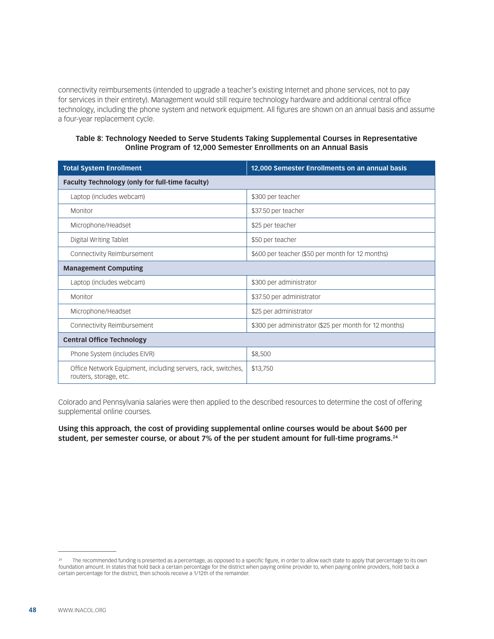connectivity reimbursements (intended to upgrade a teacher's existing Internet and phone services, not to pay for services in their entirety). Management would still require technology hardware and additional central office technology, including the phone system and network equipment. All figures are shown on an annual basis and assume a four-year replacement cycle.

#### **Table 8: Technology Needed to Serve Students Taking Supplemental Courses in Representative Online Program of 12,000 Semester Enrollments on an Annual Basis**

| <b>Total System Enrollment</b>                                                         | 12,000 Semester Enrollments on an annual basis         |
|----------------------------------------------------------------------------------------|--------------------------------------------------------|
| <b>Faculty Technology (only for full-time faculty)</b>                                 |                                                        |
| Laptop (includes webcam)                                                               | \$300 per teacher                                      |
| Monitor                                                                                | \$37.50 per teacher                                    |
| Microphone/Headset                                                                     | \$25 per teacher                                       |
| Digital Writing Tablet                                                                 | \$50 per teacher                                       |
| Connectivity Reimbursement                                                             | \$600 per teacher (\$50 per month for 12 months)       |
| <b>Management Computing</b>                                                            |                                                        |
| Laptop (includes webcam)                                                               | \$300 per administrator                                |
| Monitor                                                                                | \$37.50 per administrator                              |
| Microphone/Headset                                                                     | \$25 per administrator                                 |
| Connectivity Reimbursement                                                             | \$300 per administrator (\$25 per month for 12 months) |
| <b>Central Office Technology</b>                                                       |                                                        |
| Phone System (includes EIVR)                                                           | \$8,500                                                |
| Office Network Equipment, including servers, rack, switches,<br>routers, storage, etc. | \$13,750                                               |

Colorado and Pennsylvania salaries were then applied to the described resources to determine the cost of offering supplemental online courses.

#### **Using this approach, the cost of providing supplemental online courses would be about \$600 per student, per semester course, or about 7% of the per student amount for full-time programs.24**

The recommended funding is presented as a percentage, as opposed to a specific figure, in order to allow each state to apply that percentage to its own foundation amount. In states that hold back a certain percentage for the district when paying online provider to, when paying online providers, hold back a certain percentage for the district, then schools receive a 1/12th of the remainder.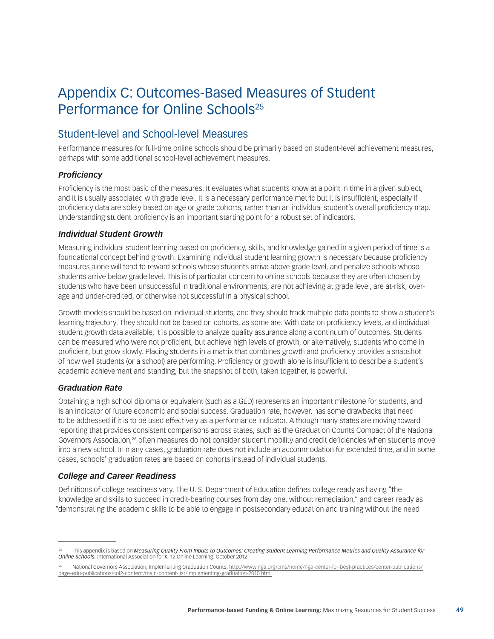# <span id="page-48-0"></span>Appendix C: Outcomes-Based Measures of Student Performance for Online Schools<sup>25</sup>

### Student-level and School-level Measures

Performance measures for full-time online schools should be primarily based on student-level achievement measures, perhaps with some additional school-level achievement measures.

#### *Proficiency*

Proficiency is the most basic of the measures. It evaluates what students know at a point in time in a given subject, and it is usually associated with grade level. It is a necessary performance metric but it is insufficient, especially if proficiency data are solely based on age or grade cohorts, rather than an individual student's overall proficiency map. Understanding student proficiency is an important starting point for a robust set of indicators.

#### *Individual Student Growth*

Measuring individual student learning based on proficiency, skills, and knowledge gained in a given period of time is a foundational concept behind growth. Examining individual student learning growth is necessary because proficiency measures alone will tend to reward schools whose students arrive above grade level, and penalize schools whose students arrive below grade level. This is of particular concern to online schools because they are often chosen by students who have been unsuccessful in traditional environments, are not achieving at grade level, are at-risk, overage and under-credited, or otherwise not successful in a physical school.

Growth models should be based on individual students, and they should track multiple data points to show a student's learning trajectory. They should not be based on cohorts, as some are. With data on proficiency levels, and individual student growth data available, it is possible to analyze quality assurance along a continuum of outcomes. Students can be measured who were not proficient, but achieve high levels of growth, or alternatively, students who come in proficient, but grow slowly. Placing students in a matrix that combines growth and proficiency provides a snapshot of how well students (or a school) are performing. Proficiency or growth alone is insufficient to describe a student's academic achievement and standing, but the snapshot of both, taken together, is powerful.

#### *Graduation Rate*

Obtaining a high school diploma or equivalent (such as a GED) represents an important milestone for students, and is an indicator of future economic and social success. Graduation rate, however, has some drawbacks that need to be addressed if it is to be used effectively as a performance indicator. Although many states are moving toward reporting that provides consistent comparisons across states, such as the Graduation Counts Compact of the National Governors Association,<sup>26</sup> often measures do not consider student mobility and credit deficiencies when students move into a new school. In many cases, graduation rate does not include an accommodation for extended time, and in some cases, schools' graduation rates are based on cohorts instead of individual students.

#### *College and Career Readiness*

Definitions of college readiness vary. The U. S. Department of Education defines college ready as having "the knowledge and skills to succeed in credit-bearing courses from day one, without remediation," and career ready as "demonstrating the academic skills to be able to engage in postsecondary education and training without the need

This appendix is based on *Measuring Quality From Inputs to Outcomes: Creating Student Learning Performance Metrics and Quality Assurance for Online Schools.* International Association for K–12 Online Learning. October 2012

<sup>26</sup> National Governors Association, Implementing Graduation Counts, [http://www.nga.org/cms/home/nga-center-for-best-practices/center-publications/](http://www.nga.org/cms/home/nga-center-for-best-practices/center-publications/page-edu-publications/col2-content/main-content-list/implementing-graduation-2010.html) [page-edu-publications/col2-content/main-content-list/implementing-graduation-2010.html](http://www.nga.org/cms/home/nga-center-for-best-practices/center-publications/page-edu-publications/col2-content/main-content-list/implementing-graduation-2010.html)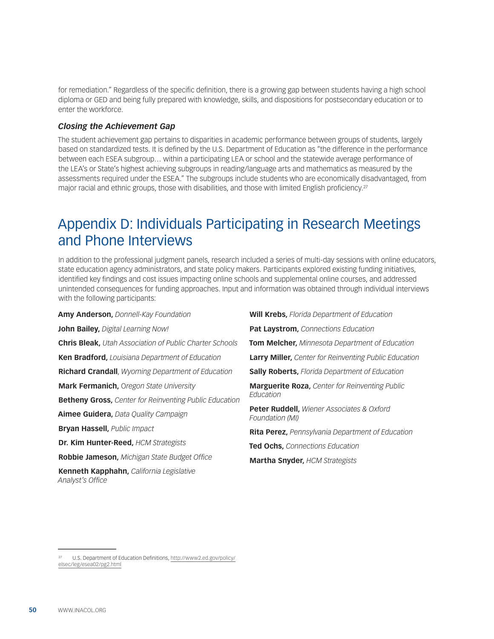<span id="page-49-0"></span>for remediation." Regardless of the specific definition, there is a growing gap between students having a high school diploma or GED and being fully prepared with knowledge, skills, and dispositions for postsecondary education or to enter the workforce.

#### *Closing the Achievement Gap*

The student achievement gap pertains to disparities in academic performance between groups of students, largely based on standardized tests. It is defined by the U.S. Department of Education as "the difference in the performance between each ESEA subgroup… within a participating LEA or school and the statewide average performance of the LEA's or State's highest achieving subgroups in reading/language arts and mathematics as measured by the assessments required under the ESEA." The subgroups include students who are economically disadvantaged, from major racial and ethnic groups, those with disabilities, and those with limited English proficiency.<sup>27</sup>

## Appendix D: Individuals Participating in Research Meetings and Phone Interviews

In addition to the professional judgment panels, research included a series of multi-day sessions with online educators, state education agency administrators, and state policy makers. Participants explored existing funding initiatives, identified key findings and cost issues impacting online schools and supplemental online courses, and addressed unintended consequences for funding approaches. Input and information was obtained through individual interviews with the following participants:

| Amy Anderson, Donnell-Kay Foundation                           | <b>Will Krebs, Florida Department of Education</b>                      |  |
|----------------------------------------------------------------|-------------------------------------------------------------------------|--|
| John Bailey, Digital Learning Now!                             | Pat Laystrom, Connections Education                                     |  |
| <b>Chris Bleak, Utah Association of Public Charter Schools</b> | <b>Tom Melcher, Minnesota Department of Education</b>                   |  |
| Ken Bradford, Louisiana Department of Education                | <b>Larry Miller, Center for Reinventing Public Education</b>            |  |
| <b>Richard Crandall</b> , Wyoming Department of Education      | <b>Sally Roberts, Florida Department of Education</b>                   |  |
| Mark Fermanich, Oregon State University                        | <b>Marguerite Roza, Center for Reinventing Public</b><br>Education      |  |
| <b>Betheny Gross, Center for Reinventing Public Education</b>  |                                                                         |  |
| Aimee Guidera, Data Quality Campaign                           | <b>Peter Ruddell, Wiener Associates &amp; Oxford</b><br>Foundation (MI) |  |
| <b>Bryan Hassell, Public Impact</b>                            | <b>Rita Perez, Pennsylvania Department of Education</b>                 |  |
| Dr. Kim Hunter-Reed, HCM Strategists                           | <b>Ted Ochs, Connections Education</b>                                  |  |
| <b>Robbie Jameson, Michigan State Budget Office</b>            | <b>Martha Snyder, HCM Strategists</b>                                   |  |
| <b>Kenneth Kapphahn.</b> California Legislative                |                                                                         |  |

*Analyst's Office*

<sup>27</sup> U.S. Department of Education Definitions, [http://www2.ed.gov/policy/](http://www2.ed.gov/policy/elsec/leg/esea02/pg2.html) [elsec/leg/esea02/pg2.html](http://www2.ed.gov/policy/elsec/leg/esea02/pg2.html)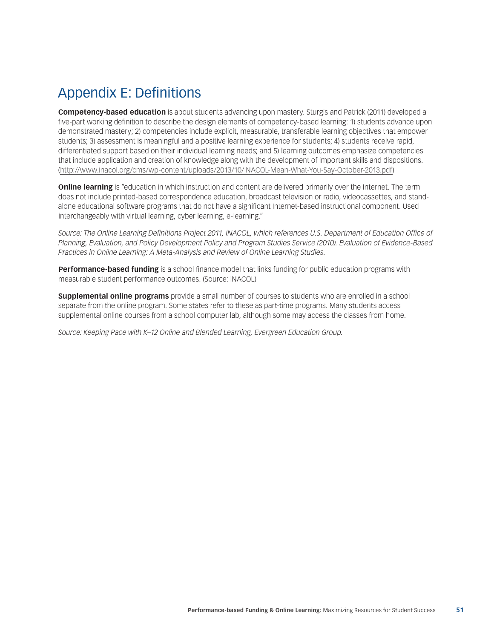# <span id="page-50-0"></span>Appendix E: Definitions

**Competency-based education** is about students advancing upon mastery. Sturgis and Patrick (2011) developed a five-part working definition to describe the design elements of competency-based learning: 1) students advance upon demonstrated mastery; 2) competencies include explicit, measurable, transferable learning objectives that empower students; 3) assessment is meaningful and a positive learning experience for students; 4) students receive rapid, differentiated support based on their individual learning needs; and 5) learning outcomes emphasize competencies that include application and creation of knowledge along with the development of important skills and dispositions. ([http://www.inacol.org/cms/wp-content/uploads/2013/10/iNACOL-Mean-What-You-Say-October-2013.pdf\)](http://www.inacol.org/cms/wp-content/uploads/2013/10/iNACOL-Mean-What-You-Say-October-2013.pdf)

**Online learning** is "education in which instruction and content are delivered primarily over the Internet. The term does not include printed-based correspondence education, broadcast television or radio, videocassettes, and standalone educational software programs that do not have a significant Internet-based instructional component. Used interchangeably with virtual learning, cyber learning, e-learning."

Source: The Online Learning Definitions Project 2011, *iNACOL*, which references U.S. Department of Education Office of *Planning, Evaluation, and Policy Development Policy and Program Studies Service (2010). Evaluation of Evidence-Based Practices in Online Learning: A Meta-Analysis and Review of Online Learning Studies.*

**Performance-based funding** is a school finance model that links funding for public education programs with measurable student performance outcomes. (Source: iNACOL)

**Supplemental online programs** provide a small number of courses to students who are enrolled in a school separate from the online program. Some states refer to these as part-time programs. Many students access supplemental online courses from a school computer lab, although some may access the classes from home.

*Source: Keeping Pace with K–12 Online and Blended Learning, Evergreen Education Group.*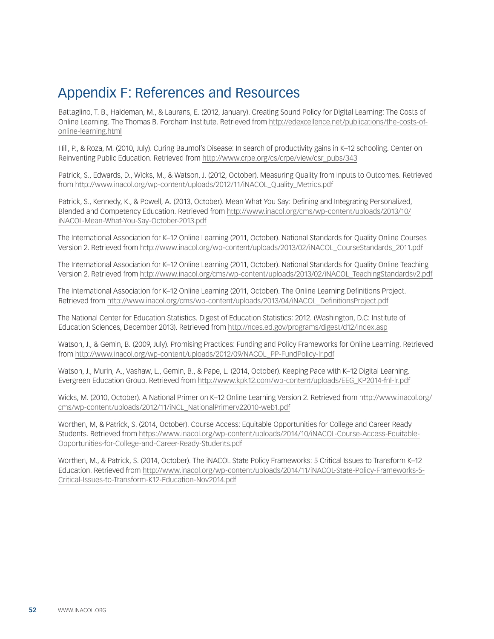## <span id="page-51-0"></span>Appendix F: References and Resources

Battaglino, T. B., Haldeman, M., & Laurans, E. (2012, January). Creating Sound Policy for Digital Learning: The Costs of Online Learning. The Thomas B. Fordham Institute. Retrieved from [http://edexcellence.net/publications/the-costs-of](http://edexcellence.net/publications/the-costs-of-online-learning.html)[online-learning.html](http://edexcellence.net/publications/the-costs-of-online-learning.html)

Hill, P., & Roza, M. (2010, July). Curing Baumol's Disease: In search of productivity gains in K–12 schooling. Center on Reinventing Public Education. Retrieved from [http://www.crpe.org/cs/crpe/view/csr\\_pubs/343](http://www.crpe.org/sites/default/files/whp_crpe1_baumols_jul10_0.pdf)

Patrick, S., Edwards, D., Wicks, M., & Watson, J. (2012, October). Measuring Quality from Inputs to Outcomes. Retrieved from [http://www.inacol.org/wp-content/uploads/2012/11/iNACOL\\_Quality\\_Metrics.pdf](http://www.inacol.org/wp-content/uploads/2012/11/iNACOL_Quality_Metrics.pdf)

Patrick, S., Kennedy, K., & Powell, A. (2013, October). Mean What You Say: Defining and Integrating Personalized, Blended and Competency Education. Retrieved from [http://www.inacol.org/cms/wp-content/uploads/2013/10/](http://www.inacol.org/cms/wp-content/uploads/2013/10/iNACOL-Mean-What-You-Say-October-2013.pdf) [iNACOL-Mean-What-You-Say-October-2013.pdf](http://www.inacol.org/cms/wp-content/uploads/2013/10/iNACOL-Mean-What-You-Say-October-2013.pdf)

The International Association for K–12 Online Learning (2011, October). National Standards for Quality Online Courses Version 2. Retrieved from [http://www.inacol.org/wp-content/uploads/2013/02/iNACOL\\_CourseStandards\\_2011.pdf](http://www.inacol.org/wp-content/uploads/2013/02/iNACOL_CourseStandards_2011.pdf)

The International Association for K–12 Online Learning (2011, October). National Standards for Quality Online Teaching Version 2. Retrieved from [http://www.inacol.org/cms/wp-content/uploads/2013/02/iNACOL\\_TeachingStandardsv2.pdf](http://www.inacol.org/cms/wp-content/uploads/2013/02/iNACOL_TeachingStandardsv2.pdf)

The International Association for K–12 Online Learning (2011, October). The Online Learning Definitions Project. Retrieved from [http://www.inacol.org/cms/wp-content/uploads/2013/04/iNACOL\\_DefinitionsProject.pdf](http://www.inacol.org/cms/wp-content/uploads/2013/04/iNACOL_DefinitionsProject.pdf)

The National Center for Education Statistics. Digest of Education Statistics: 2012. (Washington, D.C: Institute of Education Sciences, December 2013). Retrieved from <http://nces.ed.gov/programs/digest/d12/index.asp>

Watson, J., & Gemin, B. (2009, July). Promising Practices: Funding and Policy Frameworks for Online Learning. Retrieved from [http://www.inacol.org/wp-content/uploads/2012/09/NACOL\\_PP-FundPolicy-lr.pdf](http://www.inacol.org/wp-content/uploads/2012/09/NACOL_PP-FundPolicy-lr.pdf)

Watson, J., Murin, A., Vashaw, L., Gemin, B., & Pape, L. (2014, October). Keeping Pace with K–12 Digital Learning. Evergreen Education Group. Retrieved from [http://www.kpk12.com/wp-content/uploads/EEG\\_KP2014-fnl-lr.pdf](http://www.kpk12.com/wp-content/uploads/EEG_KP2014-fnl-lr.pdf)

Wicks, M. (2010, October). A National Primer on K–12 Online Learning Version 2. Retrieved from [http://www.inacol.org/](http://www.inacol.org/cms/wp-content/uploads/2012/11/iNCL_NationalPrimerv22010-web1.pdf) [cms/wp-content/uploads/2012/11/iNCL\\_NationalPrimerv22010-web1.pdf](http://www.inacol.org/cms/wp-content/uploads/2012/11/iNCL_NationalPrimerv22010-web1.pdf)

Worthen, M, & Patrick, S. (2014, October). Course Access: Equitable Opportunities for College and Career Ready Students. Retrieved from [https://www.inacol.org/wp-content/uploads/2014/10/iNACOL-Course-Access-Equitable-](https://www.inacol.org/wp-content/uploads/2014/10/iNACOL-Course-Access-Equitable-Opportunities-for-College-and-Career-Ready-Students.pdf)[Opportunities-for-College-and-Career-Ready-Students.pdf](https://www.inacol.org/wp-content/uploads/2014/10/iNACOL-Course-Access-Equitable-Opportunities-for-College-and-Career-Ready-Students.pdf)

Worthen, M., & Patrick, S. (2014, October). The iNACOL State Policy Frameworks: 5 Critical Issues to Transform K–12 Education. Retrieved from [http://www.inacol.org/wp-content/uploads/2014/11/iNACOL-State-Policy-Frameworks-5-](http://www.inacol.org/wp-content/uploads/2014/11/iNACOL-State-Policy-Frameworks-5-Critical-Issues-to-Transform-K12-Education-Nov2014.pdf) [Critical-Issues-to-Transform-K12-Education-Nov2014.pdf](http://www.inacol.org/wp-content/uploads/2014/11/iNACOL-State-Policy-Frameworks-5-Critical-Issues-to-Transform-K12-Education-Nov2014.pdf)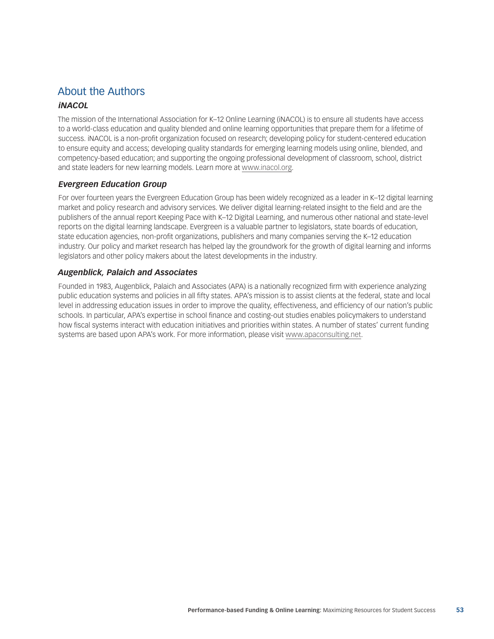### About the Authors

#### *iNACOL*

The mission of the International Association for K–12 Online Learning (iNACOL) is to ensure all students have access to a world-class education and quality blended and online learning opportunities that prepare them for a lifetime of success. iNACOL is a non-profit organization focused on research; developing policy for student-centered education to ensure equity and access; developing quality standards for emerging learning models using online, blended, and competency-based education; and supporting the ongoing professional development of classroom, school, district and state leaders for new learning models. Learn more at [www.inacol.org.](www.inacol.org)

#### *Evergreen Education Group*

For over fourteen years the Evergreen Education Group has been widely recognized as a leader in K–12 digital learning market and policy research and advisory services. We deliver digital learning-related insight to the field and are the publishers of the annual report Keeping Pace with K–12 Digital Learning, and numerous other national and state-level reports on the digital learning landscape. Evergreen is a valuable partner to legislators, state boards of education, state education agencies, non-profit organizations, publishers and many companies serving the K–12 education industry. Our policy and market research has helped lay the groundwork for the growth of digital learning and informs legislators and other policy makers about the latest developments in the industry.

#### *Augenblick, Palaich and Associates*

Founded in 1983, Augenblick, Palaich and Associates (APA) is a nationally recognized firm with experience analyzing public education systems and policies in all fifty states. APA's mission is to assist clients at the federal, state and local level in addressing education issues in order to improve the quality, effectiveness, and efficiency of our nation's public schools. In particular, APA's expertise in school finance and costing-out studies enables policymakers to understand how fiscal systems interact with education initiatives and priorities within states. A number of states' current funding systems are based upon APA's work. For more information, please visit [www.apaconsulting.net.](www.apaconsulting.net)